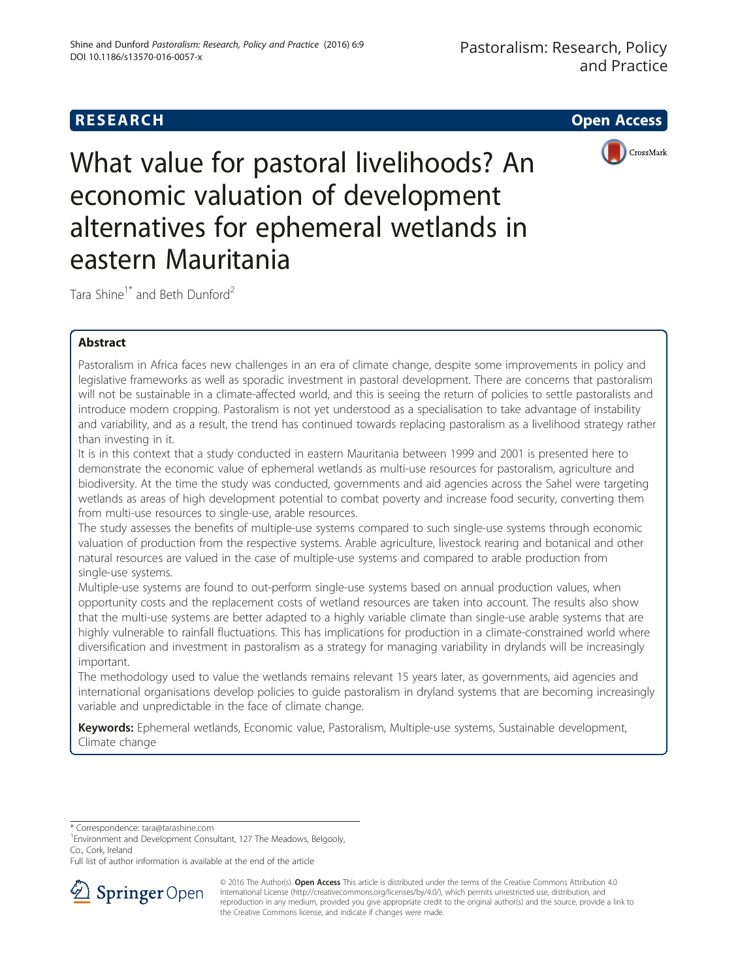# **RESEARCH CHILD CONTROL** CONTROL CONTROL CONTROL CONTROL CONTROL CONTROL CONTROL CONTROL CONTROL CONTROL CONTROL



What value for pastoral livelihoods? An economic valuation of development alternatives for ephemeral wetlands in eastern Mauritania

Tara Shine<sup>1\*</sup> and Beth Dunford<sup>2</sup>

## Abstract

Pastoralism in Africa faces new challenges in an era of climate change, despite some improvements in policy and legislative frameworks as well as sporadic investment in pastoral development. There are concerns that pastoralism will not be sustainable in a climate-affected world, and this is seeing the return of policies to settle pastoralists and introduce modern cropping. Pastoralism is not yet understood as a specialisation to take advantage of instability and variability, and as a result, the trend has continued towards replacing pastoralism as a livelihood strategy rather than investing in it.

It is in this context that a study conducted in eastern Mauritania between 1999 and 2001 is presented here to demonstrate the economic value of ephemeral wetlands as multi-use resources for pastoralism, agriculture and biodiversity. At the time the study was conducted, governments and aid agencies across the Sahel were targeting wetlands as areas of high development potential to combat poverty and increase food security, converting them from multi-use resources to single-use, arable resources.

The study assesses the benefits of multiple-use systems compared to such single-use systems through economic valuation of production from the respective systems. Arable agriculture, livestock rearing and botanical and other natural resources are valued in the case of multiple-use systems and compared to arable production from single-use systems.

Multiple-use systems are found to out-perform single-use systems based on annual production values, when opportunity costs and the replacement costs of wetland resources are taken into account. The results also show that the multi-use systems are better adapted to a highly variable climate than single-use arable systems that are highly vulnerable to rainfall fluctuations. This has implications for production in a climate-constrained world where diversification and investment in pastoralism as a strategy for managing variability in drylands will be increasingly important.

The methodology used to value the wetlands remains relevant 15 years later, as governments, aid agencies and international organisations develop policies to guide pastoralism in dryland systems that are becoming increasingly variable and unpredictable in the face of climate change.

Keywords: Ephemeral wetlands, Economic value, Pastoralism, Multiple-use systems, Sustainable development, Climate change

\* Correspondence: [tara@tarashine.com](mailto:tara@tarashine.com) <sup>1</sup>

Full list of author information is available at the end of the article



<sup>© 2016</sup> The Author(s). Open Access This article is distributed under the terms of the Creative Commons Attribution 4.0 International License ([http://creativecommons.org/licenses/by/4.0/\)](http://creativecommons.org/licenses/by/4.0/), which permits unrestricted use, distribution, and reproduction in any medium, provided you give appropriate credit to the original author(s) and the source, provide a link to the Creative Commons license, and indicate if changes were made.

<sup>&</sup>lt;sup>1</sup> Environment and Development Consultant, 127 The Meadows, Belgooly, Co., Cork, Ireland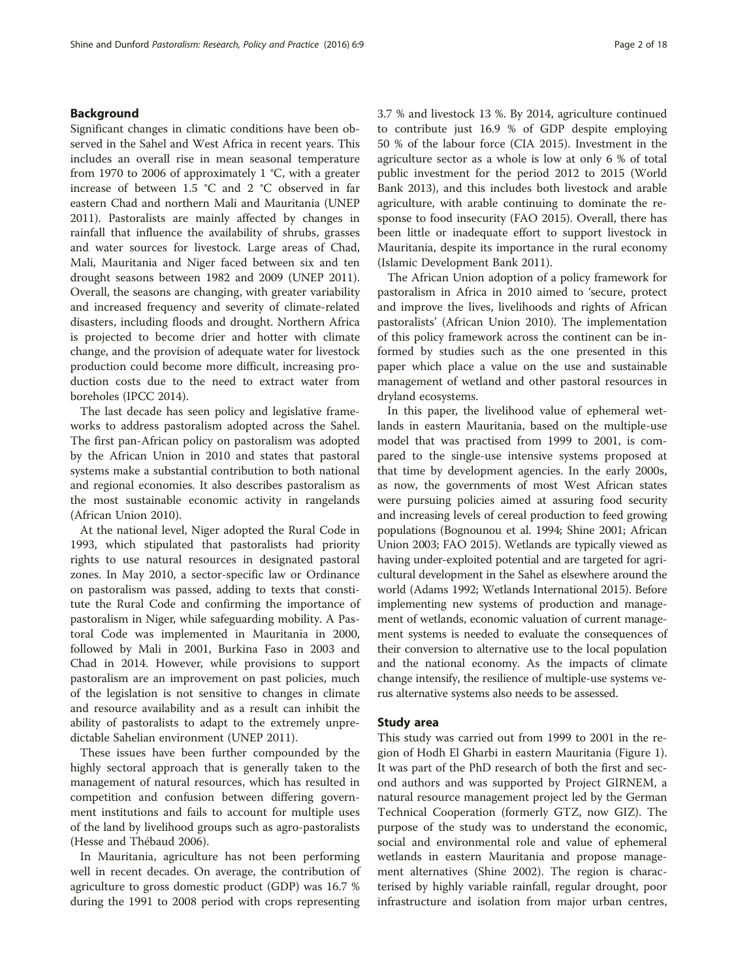### Background

Significant changes in climatic conditions have been observed in the Sahel and West Africa in recent years. This includes an overall rise in mean seasonal temperature from 1970 to 2006 of approximately 1 °C, with a greater increase of between 1.5 °C and 2 °C observed in far eastern Chad and northern Mali and Mauritania (UNEP [2011](#page-17-0)). Pastoralists are mainly affected by changes in rainfall that influence the availability of shrubs, grasses and water sources for livestock. Large areas of Chad, Mali, Mauritania and Niger faced between six and ten drought seasons between 1982 and 2009 (UNEP [2011](#page-17-0)). Overall, the seasons are changing, with greater variability and increased frequency and severity of climate-related disasters, including floods and drought. Northern Africa is projected to become drier and hotter with climate change, and the provision of adequate water for livestock production could become more difficult, increasing production costs due to the need to extract water from boreholes (IPCC [2014](#page-17-0)).

The last decade has seen policy and legislative frameworks to address pastoralism adopted across the Sahel. The first pan-African policy on pastoralism was adopted by the African Union in 2010 and states that pastoral systems make a substantial contribution to both national and regional economies. It also describes pastoralism as the most sustainable economic activity in rangelands (African Union [2010](#page-16-0)).

At the national level, Niger adopted the Rural Code in 1993, which stipulated that pastoralists had priority rights to use natural resources in designated pastoral zones. In May 2010, a sector-specific law or Ordinance on pastoralism was passed, adding to texts that constitute the Rural Code and confirming the importance of pastoralism in Niger, while safeguarding mobility. A Pastoral Code was implemented in Mauritania in 2000, followed by Mali in 2001, Burkina Faso in 2003 and Chad in 2014. However, while provisions to support pastoralism are an improvement on past policies, much of the legislation is not sensitive to changes in climate and resource availability and as a result can inhibit the ability of pastoralists to adapt to the extremely unpredictable Sahelian environment (UNEP [2011](#page-17-0)).

These issues have been further compounded by the highly sectoral approach that is generally taken to the management of natural resources, which has resulted in competition and confusion between differing government institutions and fails to account for multiple uses of the land by livelihood groups such as agro-pastoralists (Hesse and Thébaud [2006\)](#page-17-0).

In Mauritania, agriculture has not been performing well in recent decades. On average, the contribution of agriculture to gross domestic product (GDP) was 16.7 % during the 1991 to 2008 period with crops representing 3.7 % and livestock 13 %. By 2014, agriculture continued to contribute just 16.9 % of GDP despite employing 50 % of the labour force (CIA [2015](#page-16-0)). Investment in the agriculture sector as a whole is low at only 6 % of total public investment for the period 2012 to 2015 (World Bank [2013\)](#page-17-0), and this includes both livestock and arable agriculture, with arable continuing to dominate the response to food insecurity (FAO [2015](#page-16-0)). Overall, there has been little or inadequate effort to support livestock in Mauritania, despite its importance in the rural economy (Islamic Development Bank [2011\)](#page-17-0).

The African Union adoption of a policy framework for pastoralism in Africa in 2010 aimed to 'secure, protect and improve the lives, livelihoods and rights of African pastoralists' (African Union [2010\)](#page-16-0). The implementation of this policy framework across the continent can be informed by studies such as the one presented in this paper which place a value on the use and sustainable management of wetland and other pastoral resources in dryland ecosystems.

In this paper, the livelihood value of ephemeral wetlands in eastern Mauritania, based on the multiple-use model that was practised from 1999 to 2001, is compared to the single-use intensive systems proposed at that time by development agencies. In the early 2000s, as now, the governments of most West African states were pursuing policies aimed at assuring food security and increasing levels of cereal production to feed growing populations (Bognounou et al. [1994;](#page-16-0) Shine [2001;](#page-17-0) African Union [2003](#page-16-0); FAO [2015](#page-16-0)). Wetlands are typically viewed as having under-exploited potential and are targeted for agricultural development in the Sahel as elsewhere around the world (Adams [1992](#page-16-0); Wetlands International [2015\)](#page-17-0). Before implementing new systems of production and management of wetlands, economic valuation of current management systems is needed to evaluate the consequences of their conversion to alternative use to the local population and the national economy. As the impacts of climate change intensify, the resilience of multiple-use systems verus alternative systems also needs to be assessed.

#### Study area

This study was carried out from 1999 to 2001 in the region of Hodh El Gharbi in eastern Mauritania (Figure [1](#page-2-0)). It was part of the PhD research of both the first and second authors and was supported by Project GIRNEM, a natural resource management project led by the German Technical Cooperation (formerly GTZ, now GIZ). The purpose of the study was to understand the economic, social and environmental role and value of ephemeral wetlands in eastern Mauritania and propose management alternatives (Shine [2002\)](#page-17-0). The region is characterised by highly variable rainfall, regular drought, poor infrastructure and isolation from major urban centres,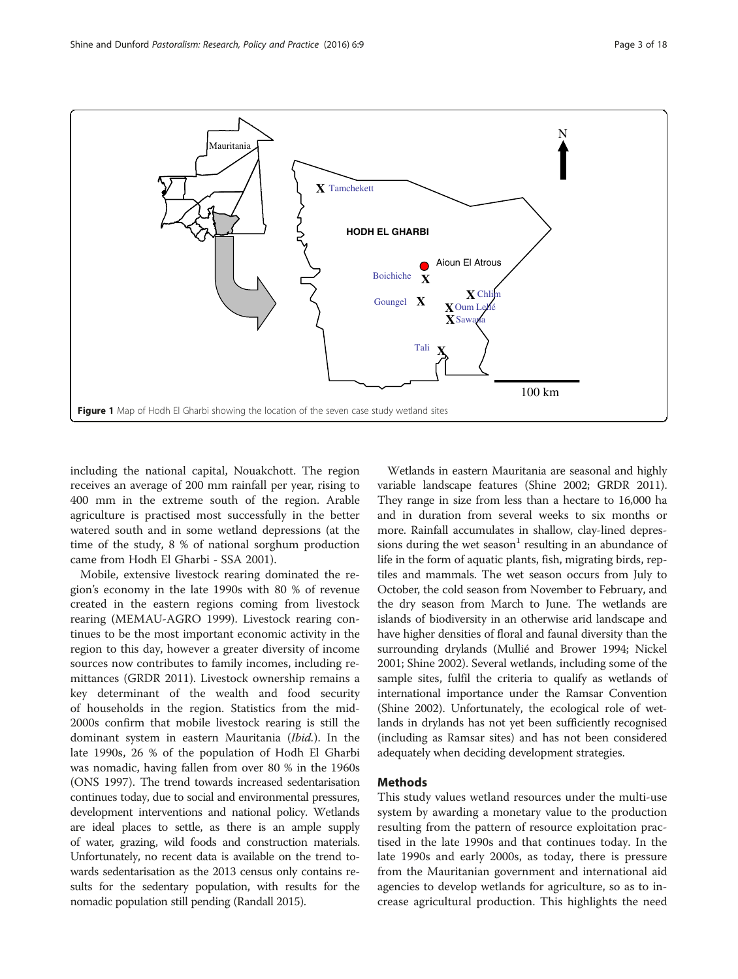<span id="page-2-0"></span>

including the national capital, Nouakchott. The region receives an average of 200 mm rainfall per year, rising to 400 mm in the extreme south of the region. Arable agriculture is practised most successfully in the better watered south and in some wetland depressions (at the time of the study, 8 % of national sorghum production came from Hodh El Gharbi - SSA 2001).

Mobile, extensive livestock rearing dominated the region's economy in the late 1990s with 80 % of revenue created in the eastern regions coming from livestock rearing (MEMAU-AGRO [1999](#page-17-0)). Livestock rearing continues to be the most important economic activity in the region to this day, however a greater diversity of income sources now contributes to family incomes, including remittances (GRDR [2011\)](#page-16-0). Livestock ownership remains a key determinant of the wealth and food security of households in the region. Statistics from the mid-2000s confirm that mobile livestock rearing is still the dominant system in eastern Mauritania (Ibid.). In the late 1990s, 26 % of the population of Hodh El Gharbi was nomadic, having fallen from over 80 % in the 1960s (ONS [1997\)](#page-17-0). The trend towards increased sedentarisation continues today, due to social and environmental pressures, development interventions and national policy. Wetlands are ideal places to settle, as there is an ample supply of water, grazing, wild foods and construction materials. Unfortunately, no recent data is available on the trend towards sedentarisation as the 2013 census only contains results for the sedentary population, with results for the nomadic population still pending (Randall [2015](#page-17-0)).

Wetlands in eastern Mauritania are seasonal and highly variable landscape features (Shine [2002](#page-17-0); GRDR [2011](#page-16-0)). They range in size from less than a hectare to 16,000 ha and in duration from several weeks to six months or more. Rainfall accumulates in shallow, clay-lined depressions during the wet season $<sup>1</sup>$  resulting in an abundance of</sup> life in the form of aquatic plants, fish, migrating birds, reptiles and mammals. The wet season occurs from July to October, the cold season from November to February, and the dry season from March to June. The wetlands are islands of biodiversity in an otherwise arid landscape and have higher densities of floral and faunal diversity than the surrounding drylands (Mullié and Brower [1994;](#page-17-0) Nickel [2001](#page-17-0); Shine [2002\)](#page-17-0). Several wetlands, including some of the sample sites, fulfil the criteria to qualify as wetlands of international importance under the Ramsar Convention (Shine [2002](#page-17-0)). Unfortunately, the ecological role of wetlands in drylands has not yet been sufficiently recognised (including as Ramsar sites) and has not been considered adequately when deciding development strategies.

### Methods

This study values wetland resources under the multi-use system by awarding a monetary value to the production resulting from the pattern of resource exploitation practised in the late 1990s and that continues today. In the late 1990s and early 2000s, as today, there is pressure from the Mauritanian government and international aid agencies to develop wetlands for agriculture, so as to increase agricultural production. This highlights the need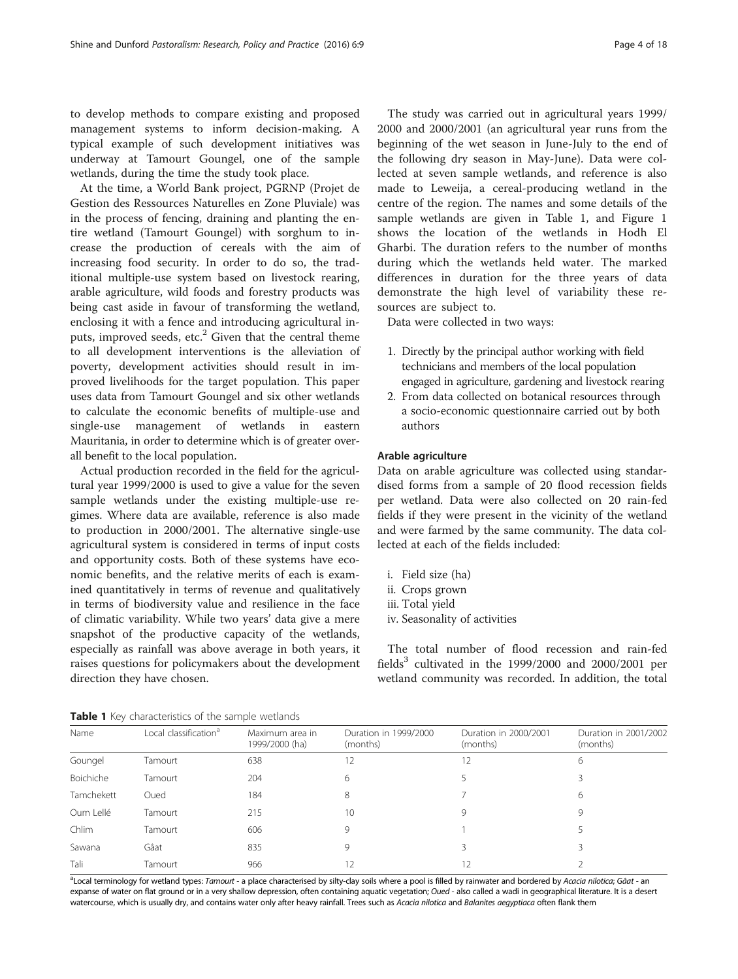to develop methods to compare existing and proposed management systems to inform decision-making. A typical example of such development initiatives was underway at Tamourt Goungel, one of the sample wetlands, during the time the study took place.

At the time, a World Bank project, PGRNP (Projet de Gestion des Ressources Naturelles en Zone Pluviale) was in the process of fencing, draining and planting the entire wetland (Tamourt Goungel) with sorghum to increase the production of cereals with the aim of increasing food security. In order to do so, the traditional multiple-use system based on livestock rearing, arable agriculture, wild foods and forestry products was being cast aside in favour of transforming the wetland, enclosing it with a fence and introducing agricultural inputs, improved seeds, etc. $2$  Given that the central theme to all development interventions is the alleviation of poverty, development activities should result in improved livelihoods for the target population. This paper uses data from Tamourt Goungel and six other wetlands to calculate the economic benefits of multiple-use and single-use management of wetlands in eastern Mauritania, in order to determine which is of greater overall benefit to the local population.

Actual production recorded in the field for the agricultural year 1999/2000 is used to give a value for the seven sample wetlands under the existing multiple-use regimes. Where data are available, reference is also made to production in 2000/2001. The alternative single-use agricultural system is considered in terms of input costs and opportunity costs. Both of these systems have economic benefits, and the relative merits of each is examined quantitatively in terms of revenue and qualitatively in terms of biodiversity value and resilience in the face of climatic variability. While two years' data give a mere snapshot of the productive capacity of the wetlands, especially as rainfall was above average in both years, it raises questions for policymakers about the development direction they have chosen.

The study was carried out in agricultural years 1999/ 2000 and 2000/2001 (an agricultural year runs from the beginning of the wet season in June-July to the end of the following dry season in May-June). Data were collected at seven sample wetlands, and reference is also made to Leweija, a cereal-producing wetland in the centre of the region. The names and some details of the sample wetlands are given in Table 1, and Figure [1](#page-2-0) shows the location of the wetlands in Hodh El Gharbi. The duration refers to the number of months during which the wetlands held water. The marked differences in duration for the three years of data demonstrate the high level of variability these resources are subject to.

Data were collected in two ways:

- 1. Directly by the principal author working with field technicians and members of the local population engaged in agriculture, gardening and livestock rearing
- 2. From data collected on botanical resources through a socio-economic questionnaire carried out by both authors

#### Arable agriculture

Data on arable agriculture was collected using standardised forms from a sample of 20 flood recession fields per wetland. Data were also collected on 20 rain-fed fields if they were present in the vicinity of the wetland and were farmed by the same community. The data collected at each of the fields included:

i. Field size (ha) ii. Crops grown iii. Total yield iv. Seasonality of activities

The total number of flood recession and rain-fed fields $3$  cultivated in the 1999/2000 and 2000/2001 per wetland community was recorded. In addition, the total

|  |  | Table 1 Key characteristics of the sample wetlands |  |  |  |
|--|--|----------------------------------------------------|--|--|--|
|--|--|----------------------------------------------------|--|--|--|

| Name       | Local classification <sup>a</sup> | Maximum area in<br>1999/2000 (ha) | Duration in 1999/2000<br>(months) | Duration in 2000/2001<br>(months) | Duration in 2001/2002<br>(months) |
|------------|-----------------------------------|-----------------------------------|-----------------------------------|-----------------------------------|-----------------------------------|
| Goungel    | Tamourt                           | 638                               | 12                                | 12                                | 6                                 |
| Boichiche  | Tamourt                           | 204                               | 6                                 |                                   |                                   |
| Tamchekett | Oued                              | 184                               | 8                                 |                                   | 6                                 |
| Oum Lellé  | Tamourt                           | 215                               | 10                                |                                   | 9                                 |
| Chlim      | Tamourt                           | 606                               | 9                                 |                                   |                                   |
| Sawana     | Gâat                              | 835                               | 9                                 |                                   |                                   |
| Tali       | Tamourt                           | 966                               | 12                                | 12                                |                                   |

<sup>a</sup>Local terminology for wetland types: Tamourt - a place characterised by silty-clay soils where a pool is filled by rainwater and bordered by Acacia nilotica; Gâat - an expanse of water on flat ground or in a very shallow depression, often containing aquatic vegetation; Oued - also called a wadi in geographical literature. It is a desert watercourse, which is usually dry, and contains water only after heavy rainfall. Trees such as Acacia nilotica and Balanites aegyptiaca often flank them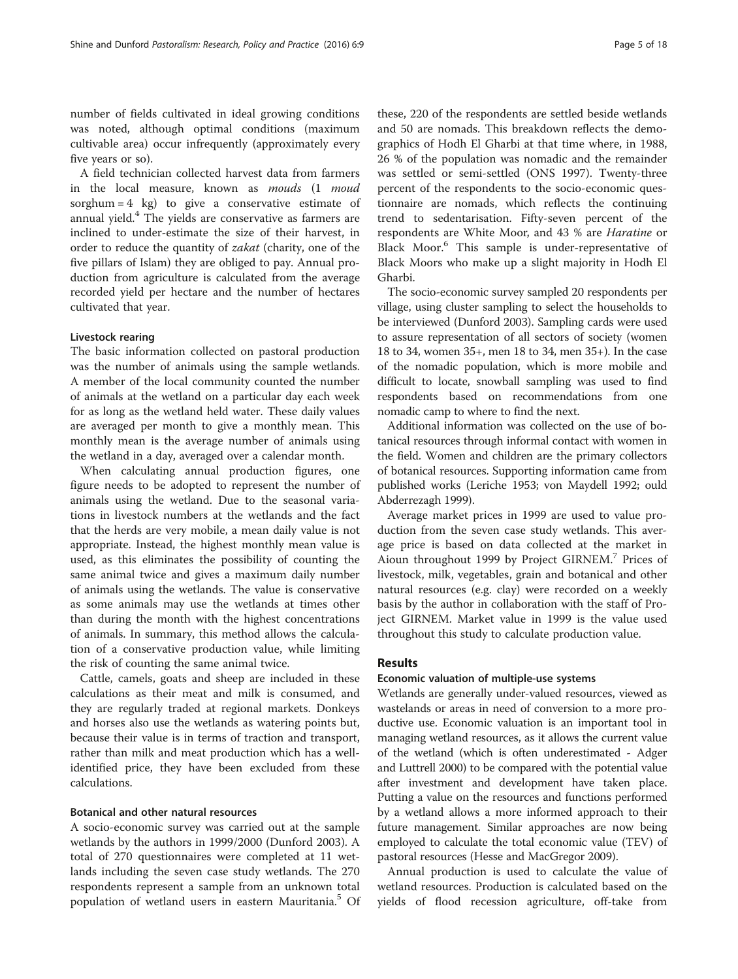number of fields cultivated in ideal growing conditions was noted, although optimal conditions (maximum cultivable area) occur infrequently (approximately every five years or so).

A field technician collected harvest data from farmers in the local measure, known as mouds (1 moud sorghum =  $4 \text{ kg}$  to give a conservative estimate of annual yield.<sup>4</sup> The yields are conservative as farmers are inclined to under-estimate the size of their harvest, in order to reduce the quantity of zakat (charity, one of the five pillars of Islam) they are obliged to pay. Annual production from agriculture is calculated from the average recorded yield per hectare and the number of hectares cultivated that year.

### Livestock rearing

The basic information collected on pastoral production was the number of animals using the sample wetlands. A member of the local community counted the number of animals at the wetland on a particular day each week for as long as the wetland held water. These daily values are averaged per month to give a monthly mean. This monthly mean is the average number of animals using the wetland in a day, averaged over a calendar month.

When calculating annual production figures, one figure needs to be adopted to represent the number of animals using the wetland. Due to the seasonal variations in livestock numbers at the wetlands and the fact that the herds are very mobile, a mean daily value is not appropriate. Instead, the highest monthly mean value is used, as this eliminates the possibility of counting the same animal twice and gives a maximum daily number of animals using the wetlands. The value is conservative as some animals may use the wetlands at times other than during the month with the highest concentrations of animals. In summary, this method allows the calculation of a conservative production value, while limiting the risk of counting the same animal twice.

Cattle, camels, goats and sheep are included in these calculations as their meat and milk is consumed, and they are regularly traded at regional markets. Donkeys and horses also use the wetlands as watering points but, because their value is in terms of traction and transport, rather than milk and meat production which has a wellidentified price, they have been excluded from these calculations.

### Botanical and other natural resources

A socio-economic survey was carried out at the sample wetlands by the authors in 1999/2000 (Dunford [2003](#page-16-0)). A total of 270 questionnaires were completed at 11 wetlands including the seven case study wetlands. The 270 respondents represent a sample from an unknown total population of wetland users in eastern Mauritania.<sup>5</sup> Of

these, 220 of the respondents are settled beside wetlands and 50 are nomads. This breakdown reflects the demographics of Hodh El Gharbi at that time where, in 1988, 26 % of the population was nomadic and the remainder was settled or semi-settled (ONS [1997\)](#page-17-0). Twenty-three percent of the respondents to the socio-economic questionnaire are nomads, which reflects the continuing trend to sedentarisation. Fifty-seven percent of the respondents are White Moor, and 43 % are Haratine or Black Moor.<sup>6</sup> This sample is under-representative of Black Moors who make up a slight majority in Hodh El Gharbi.

The socio-economic survey sampled 20 respondents per village, using cluster sampling to select the households to be interviewed (Dunford [2003\)](#page-16-0). Sampling cards were used to assure representation of all sectors of society (women 18 to 34, women 35+, men 18 to 34, men 35+). In the case of the nomadic population, which is more mobile and difficult to locate, snowball sampling was used to find respondents based on recommendations from one nomadic camp to where to find the next.

Additional information was collected on the use of botanical resources through informal contact with women in the field. Women and children are the primary collectors of botanical resources. Supporting information came from published works (Leriche [1953;](#page-17-0) von Maydell [1992](#page-17-0); ould Abderrezagh [1999\)](#page-17-0).

Average market prices in 1999 are used to value production from the seven case study wetlands. This average price is based on data collected at the market in Aioun throughout 1999 by Project GIRNEM.<sup>7</sup> Prices of livestock, milk, vegetables, grain and botanical and other natural resources (e.g. clay) were recorded on a weekly basis by the author in collaboration with the staff of Project GIRNEM. Market value in 1999 is the value used throughout this study to calculate production value.

### Results

#### Economic valuation of multiple-use systems

Wetlands are generally under-valued resources, viewed as wastelands or areas in need of conversion to a more productive use. Economic valuation is an important tool in managing wetland resources, as it allows the current value of the wetland (which is often underestimated - Adger and Luttrell [2000\)](#page-16-0) to be compared with the potential value after investment and development have taken place. Putting a value on the resources and functions performed by a wetland allows a more informed approach to their future management. Similar approaches are now being employed to calculate the total economic value (TEV) of pastoral resources (Hesse and MacGregor [2009\)](#page-17-0).

Annual production is used to calculate the value of wetland resources. Production is calculated based on the yields of flood recession agriculture, off-take from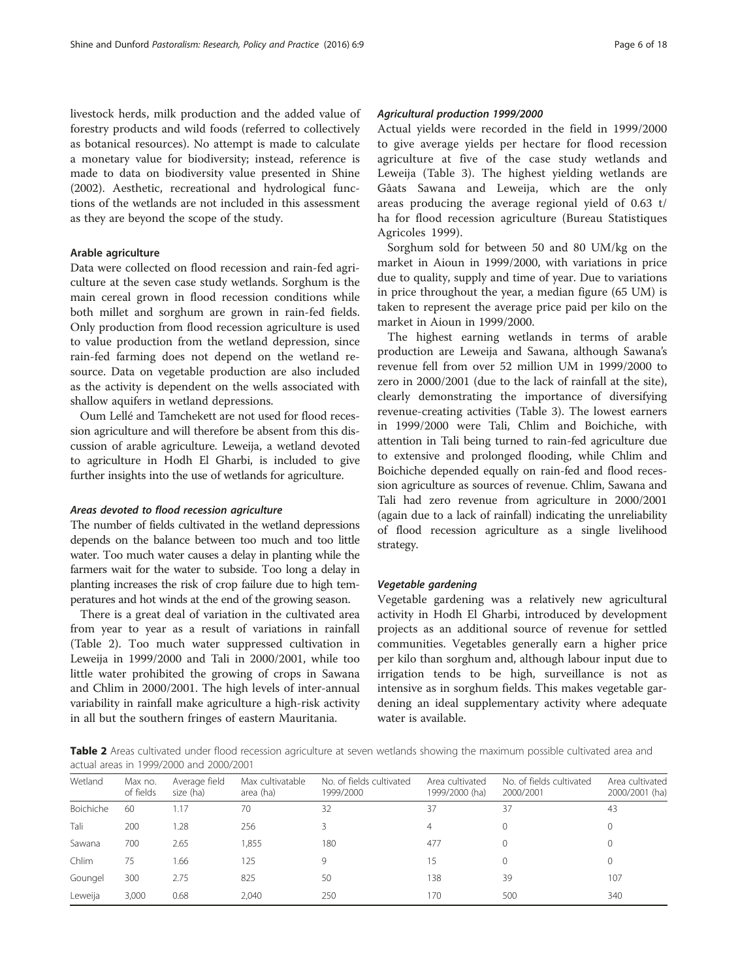livestock herds, milk production and the added value of forestry products and wild foods (referred to collectively as botanical resources). No attempt is made to calculate a monetary value for biodiversity; instead, reference is made to data on biodiversity value presented in Shine ([2002](#page-17-0)). Aesthetic, recreational and hydrological functions of the wetlands are not included in this assessment as they are beyond the scope of the study.

### Arable agriculture

Data were collected on flood recession and rain-fed agriculture at the seven case study wetlands. Sorghum is the main cereal grown in flood recession conditions while both millet and sorghum are grown in rain-fed fields. Only production from flood recession agriculture is used to value production from the wetland depression, since rain-fed farming does not depend on the wetland resource. Data on vegetable production are also included as the activity is dependent on the wells associated with shallow aquifers in wetland depressions.

Oum Lellé and Tamchekett are not used for flood recession agriculture and will therefore be absent from this discussion of arable agriculture. Leweija, a wetland devoted to agriculture in Hodh El Gharbi, is included to give further insights into the use of wetlands for agriculture.

#### Areas devoted to flood recession agriculture

The number of fields cultivated in the wetland depressions depends on the balance between too much and too little water. Too much water causes a delay in planting while the farmers wait for the water to subside. Too long a delay in planting increases the risk of crop failure due to high temperatures and hot winds at the end of the growing season.

There is a great deal of variation in the cultivated area from year to year as a result of variations in rainfall (Table 2). Too much water suppressed cultivation in Leweija in 1999/2000 and Tali in 2000/2001, while too little water prohibited the growing of crops in Sawana and Chlim in 2000/2001. The high levels of inter-annual variability in rainfall make agriculture a high-risk activity in all but the southern fringes of eastern Mauritania.

### Agricultural production 1999/2000

Actual yields were recorded in the field in 1999/2000 to give average yields per hectare for flood recession agriculture at five of the case study wetlands and Leweija (Table [3\)](#page-6-0). The highest yielding wetlands are Gâats Sawana and Leweija, which are the only areas producing the average regional yield of 0.63 t/ ha for flood recession agriculture (Bureau Statistiques Agricoles [1999](#page-16-0)).

Sorghum sold for between 50 and 80 UM/kg on the market in Aioun in 1999/2000, with variations in price due to quality, supply and time of year. Due to variations in price throughout the year, a median figure (65 UM) is taken to represent the average price paid per kilo on the market in Aioun in 1999/2000.

The highest earning wetlands in terms of arable production are Leweija and Sawana, although Sawana's revenue fell from over 52 million UM in 1999/2000 to zero in 2000/2001 (due to the lack of rainfall at the site), clearly demonstrating the importance of diversifying revenue-creating activities (Table [3](#page-6-0)). The lowest earners in 1999/2000 were Tali, Chlim and Boichiche, with attention in Tali being turned to rain-fed agriculture due to extensive and prolonged flooding, while Chlim and Boichiche depended equally on rain-fed and flood recession agriculture as sources of revenue. Chlim, Sawana and Tali had zero revenue from agriculture in 2000/2001 (again due to a lack of rainfall) indicating the unreliability of flood recession agriculture as a single livelihood strategy.

### Vegetable gardening

Vegetable gardening was a relatively new agricultural activity in Hodh El Gharbi, introduced by development projects as an additional source of revenue for settled communities. Vegetables generally earn a higher price per kilo than sorghum and, although labour input due to irrigation tends to be high, surveillance is not as intensive as in sorghum fields. This makes vegetable gardening an ideal supplementary activity where adequate water is available.

Table 2 Areas cultivated under flood recession agriculture at seven wetlands showing the maximum possible cultivated area and actual areas in 1999/2000 and 2000/2001

| Wetland   | Max no.<br>of fields | Average field<br>size (ha) | Max cultivatable<br>area (ha) | No. of fields cultivated<br>1999/2000 | Area cultivated<br>1999/2000 (ha) | No. of fields cultivated<br>2000/2001 | Area cultivated<br>2000/2001 (ha) |
|-----------|----------------------|----------------------------|-------------------------------|---------------------------------------|-----------------------------------|---------------------------------------|-----------------------------------|
| Boichiche | 60                   | 1.17                       | 70                            | 32                                    | 37                                | 37                                    | 43                                |
| Tali      | 200                  | 1.28                       | 256                           |                                       | 4                                 | $\Omega$                              | 0                                 |
| Sawana    | 700                  | 2.65                       | ,855                          | 180                                   | 477                               | $\Omega$                              | 0                                 |
| Chlim     | 75                   | 1.66                       | 125                           | 9                                     | 15                                | 0                                     | 0                                 |
| Goungel   | 300                  | 2.75                       | 825                           | 50                                    | 138                               | 39                                    | 107                               |
| Leweija   | 3.000                | 0.68                       | 2.040                         | 250                                   | 170                               | 500                                   | 340                               |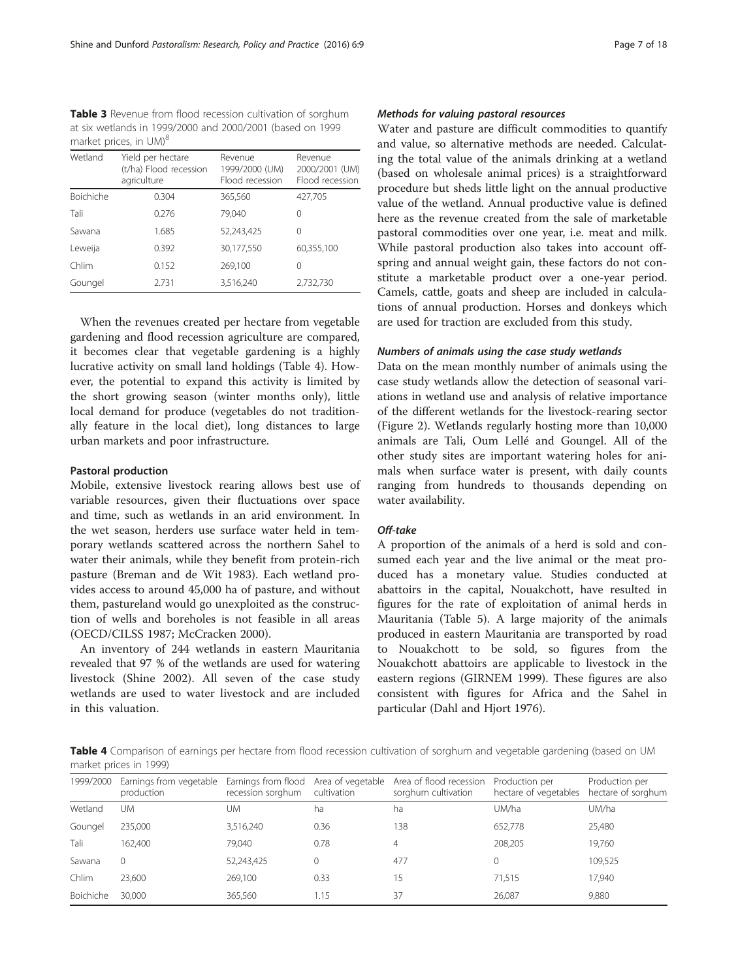<span id="page-6-0"></span>Table 3 Revenue from flood recession cultivation of sorghum at six wetlands in 1999/2000 and 2000/2001 (based on 1999 market prices, in UM)<sup>8</sup>

| Wetland   | Yield per hectare<br>(t/ha) Flood recession<br>agriculture | Revenue<br>1999/2000 (UM)<br>Flood recession | Revenue<br>2000/2001 (UM)<br>Flood recession |
|-----------|------------------------------------------------------------|----------------------------------------------|----------------------------------------------|
| Boichiche | 0.304                                                      | 365,560                                      | 427,705                                      |
| Tali      | 0.276                                                      | 79.040                                       | 0                                            |
| Sawana    | 1.685                                                      | 52,243,425                                   | 0                                            |
| Leweija   | 0.392                                                      | 30.177.550                                   | 60,355,100                                   |
| Chlim     | 0.152                                                      | 269,100                                      | 0                                            |
| Goungel   | 2.731                                                      | 3,516,240                                    | 2,732,730                                    |

When the revenues created per hectare from vegetable gardening and flood recession agriculture are compared, it becomes clear that vegetable gardening is a highly lucrative activity on small land holdings (Table 4). However, the potential to expand this activity is limited by the short growing season (winter months only), little local demand for produce (vegetables do not traditionally feature in the local diet), long distances to large urban markets and poor infrastructure.

#### Pastoral production

Mobile, extensive livestock rearing allows best use of variable resources, given their fluctuations over space and time, such as wetlands in an arid environment. In the wet season, herders use surface water held in temporary wetlands scattered across the northern Sahel to water their animals, while they benefit from protein-rich pasture (Breman and de Wit [1983](#page-16-0)). Each wetland provides access to around 45,000 ha of pasture, and without them, pastureland would go unexploited as the construction of wells and boreholes is not feasible in all areas (OECD/CILSS [1987;](#page-17-0) McCracken [2000\)](#page-17-0).

An inventory of 244 wetlands in eastern Mauritania revealed that 97 % of the wetlands are used for watering livestock (Shine [2002\)](#page-17-0). All seven of the case study wetlands are used to water livestock and are included in this valuation.

### Methods for valuing pastoral resources

Water and pasture are difficult commodities to quantify and value, so alternative methods are needed. Calculating the total value of the animals drinking at a wetland (based on wholesale animal prices) is a straightforward procedure but sheds little light on the annual productive value of the wetland. Annual productive value is defined here as the revenue created from the sale of marketable pastoral commodities over one year, i.e. meat and milk. While pastoral production also takes into account offspring and annual weight gain, these factors do not constitute a marketable product over a one-year period. Camels, cattle, goats and sheep are included in calculations of annual production. Horses and donkeys which are used for traction are excluded from this study.

#### Numbers of animals using the case study wetlands

Data on the mean monthly number of animals using the case study wetlands allow the detection of seasonal variations in wetland use and analysis of relative importance of the different wetlands for the livestock-rearing sector (Figure [2\)](#page-7-0). Wetlands regularly hosting more than 10,000 animals are Tali, Oum Lellé and Goungel. All of the other study sites are important watering holes for animals when surface water is present, with daily counts ranging from hundreds to thousands depending on water availability.

### Off-take

A proportion of the animals of a herd is sold and consumed each year and the live animal or the meat produced has a monetary value. Studies conducted at abattoirs in the capital, Nouakchott, have resulted in figures for the rate of exploitation of animal herds in Mauritania (Table [5](#page-7-0)). A large majority of the animals produced in eastern Mauritania are transported by road to Nouakchott to be sold, so figures from the Nouakchott abattoirs are applicable to livestock in the eastern regions (GIRNEM [1999](#page-16-0)). These figures are also consistent with figures for Africa and the Sahel in particular (Dahl and Hjort [1976\)](#page-16-0).

Table 4 Comparison of earnings per hectare from flood recession cultivation of sorghum and vegetable gardening (based on UM market prices in 1999)

| 1999/2000 | Earnings from vegetable<br>production | Earnings from flood Area of vegetable<br>recession sorghum | cultivation | Area of flood recession<br>sorghum cultivation | Production per<br>hectare of vegetables | Production per<br>hectare of sorghum |
|-----------|---------------------------------------|------------------------------------------------------------|-------------|------------------------------------------------|-----------------------------------------|--------------------------------------|
| Wetland   | UM                                    | UM                                                         | ha          | ha                                             | UM/ha                                   | UM/ha                                |
| Goungel   | 235,000                               | 3,516,240                                                  | 0.36        | 38                                             | 652,778                                 | 25,480                               |
| Tali      | 162.400                               | 79,040                                                     | 0.78        | $\overline{4}$                                 | 208.205                                 | 19.760                               |
| Sawana    | $\Omega$                              | 52,243,425                                                 |             | 477                                            | $\Omega$                                | 109,525                              |
| Chlim     | 23,600                                | 269,100                                                    | 0.33        | 15                                             | 71.515                                  | 17,940                               |
| Boichiche | 30,000                                | 365.560                                                    | 1.15        | 37                                             | 26.087                                  | 9,880                                |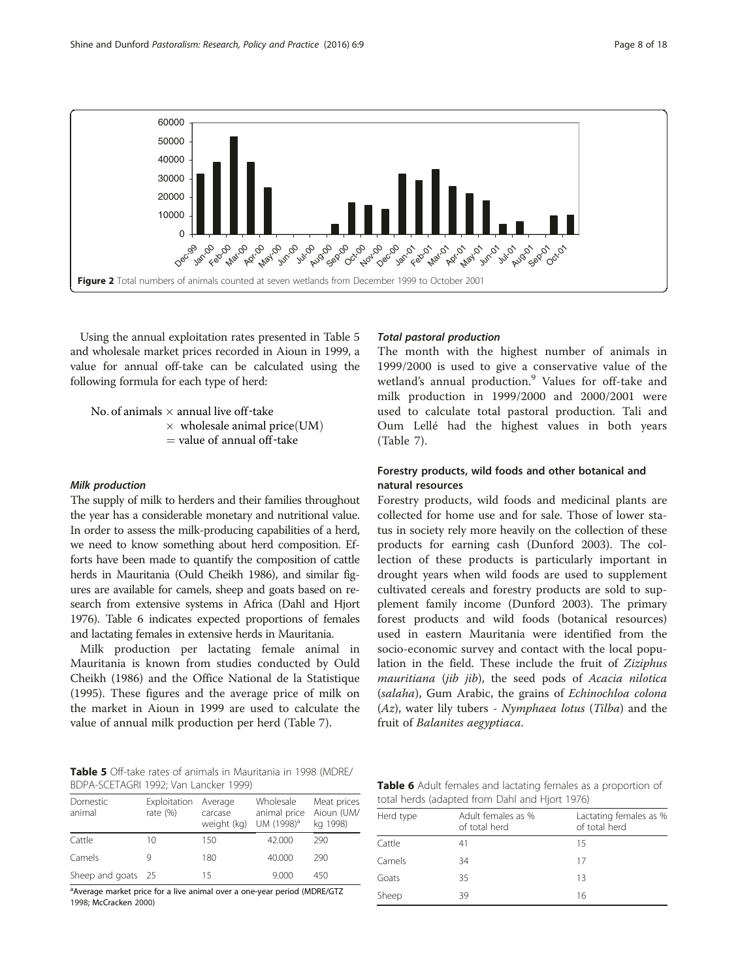<span id="page-7-0"></span>

Using the annual exploitation rates presented in Table 5 and wholesale market prices recorded in Aioun in 1999, a value for annual off-take can be calculated using the following formula for each type of herd:

No. of animals  $\times$  annual live off-take

 $\times$  wholesale animal price (UM)

 $=$  value of annual off-take

#### Milk production

The supply of milk to herders and their families throughout the year has a considerable monetary and nutritional value. In order to assess the milk-producing capabilities of a herd, we need to know something about herd composition. Efforts have been made to quantify the composition of cattle herds in Mauritania (Ould Cheikh [1986](#page-17-0)), and similar figures are available for camels, sheep and goats based on research from extensive systems in Africa (Dahl and Hjort [1976\)](#page-16-0). Table 6 indicates expected proportions of females and lactating females in extensive herds in Mauritania.

Milk production per lactating female animal in Mauritania is known from studies conducted by Ould Cheikh ([1986\)](#page-17-0) and the Office National de la Statistique ([1995](#page-17-0)). These figures and the average price of milk on the market in Aioun in 1999 are used to calculate the value of annual milk production per herd (Table [7](#page-8-0)).

Table 5 Off-take rates of animals in Mauritania in 1998 (MDRE/ BDPA-SCETAGRI [1992;](#page-17-0) Van Lancker [1999](#page-17-0))

| Domestic<br>animal | Exploitation<br>rate $(\%)$ | Average<br>carcase<br>weight (kg) | Wholesale<br>animal price<br>UM (1998) <sup>a</sup> | Meat prices<br>Aioun (UM/<br>kg 1998) |
|--------------------|-----------------------------|-----------------------------------|-----------------------------------------------------|---------------------------------------|
| Cattle             | 10                          | 150                               | 42.000                                              | 290                                   |
| Camels             | 9                           | 180                               | 40.000                                              | 290                                   |
| Sheep and goats 25 |                             | 15                                | 9.000                                               | 450                                   |

<sup>a</sup>Average market price for a live animal over a one-year period (MDRE/GTZ [1998](#page-17-0); McCracken [2000](#page-17-0))

### Total pastoral production

The month with the highest number of animals in 1999/2000 is used to give a conservative value of the wetland's annual production.<sup>9</sup> Values for off-take and milk production in 1999/2000 and 2000/2001 were used to calculate total pastoral production. Tali and Oum Lellé had the highest values in both years (Table [7\)](#page-8-0).

### Forestry products, wild foods and other botanical and natural resources

Forestry products, wild foods and medicinal plants are collected for home use and for sale. Those of lower status in society rely more heavily on the collection of these products for earning cash (Dunford [2003](#page-16-0)). The collection of these products is particularly important in drought years when wild foods are used to supplement cultivated cereals and forestry products are sold to supplement family income (Dunford [2003\)](#page-16-0). The primary forest products and wild foods (botanical resources) used in eastern Mauritania were identified from the socio-economic survey and contact with the local population in the field. These include the fruit of Ziziphus mauritiana (jib jib), the seed pods of Acacia nilotica (salaha), Gum Arabic, the grains of Echinochloa colona  $(Az)$ , water lily tubers - Nymphaea lotus (Tilba) and the fruit of Balanites aegyptiaca.

|  | <b>Table 6</b> Adult females and lactating females as a proportion of |  |  |  |
|--|-----------------------------------------------------------------------|--|--|--|
|  | total herds (adapted from Dahl and Hjort 1976)                        |  |  |  |

| Herd type | Adult females as %<br>of total herd | Lactating females as %<br>of total herd |
|-----------|-------------------------------------|-----------------------------------------|
| Cattle    | 41                                  | 15                                      |
| Camels    | 34                                  | 17                                      |
| Goats     | 35                                  | 13                                      |
| Sheep     | 39                                  | 16                                      |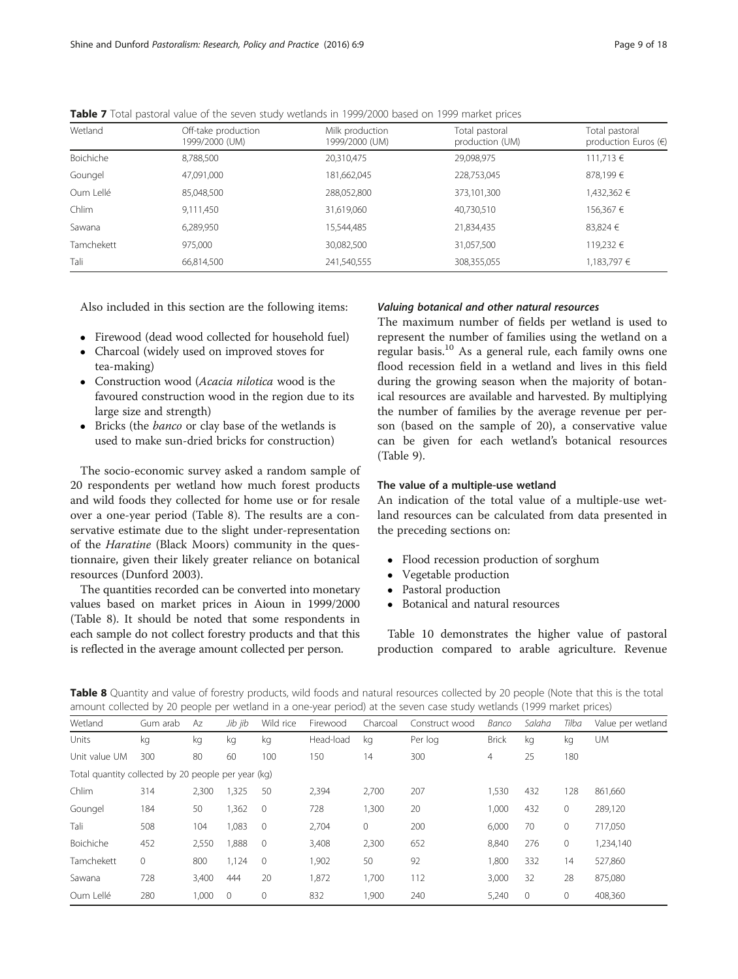| Wetland    | Off-take production<br>1999/2000 (UM) | Milk production<br>1999/2000 (UM) | Total pastoral<br>production (UM) | Total pastoral<br>production Euros $(\epsilon)$ |
|------------|---------------------------------------|-----------------------------------|-----------------------------------|-------------------------------------------------|
| Boichiche  | 8,788,500                             | 20,310,475                        | 29,098,975                        | 111,713 €                                       |
| Goungel    | 47,091,000                            | 181,662,045                       | 228,753,045                       | 878.199€                                        |
| Oum Lellé  | 85,048,500                            | 288,052,800                       | 373,101,300                       | 1,432,362 €                                     |
| Chlim      | 9,111,450                             | 31,619,060                        | 40,730,510                        | 156,367 €                                       |
| Sawana     | 6,289,950                             | 15,544,485                        | 21,834,435                        | 83,824 €                                        |
| Tamchekett | 975,000                               | 30,082,500                        | 31,057,500                        | 119,232 €                                       |
| Tali       | 66,814,500                            | 241,540,555                       | 308,355,055                       | 1,183,797 €                                     |

<span id="page-8-0"></span>Table 7 Total pastoral value of the seven study wetlands in 1999/2000 based on 1999 market prices

Also included in this section are the following items:

- Firewood (dead wood collected for household fuel)
- Charcoal (widely used on improved stoves for tea-making)
- Construction wood (Acacia nilotica wood is the favoured construction wood in the region due to its large size and strength)
- Bricks (the *banco* or clay base of the wetlands is used to make sun-dried bricks for construction)

The socio-economic survey asked a random sample of 20 respondents per wetland how much forest products and wild foods they collected for home use or for resale over a one-year period (Table 8). The results are a conservative estimate due to the slight under-representation of the Haratine (Black Moors) community in the questionnaire, given their likely greater reliance on botanical resources (Dunford [2003\)](#page-16-0).

The quantities recorded can be converted into monetary values based on market prices in Aioun in 1999/2000 (Table 8). It should be noted that some respondents in each sample do not collect forestry products and that this is reflected in the average amount collected per person.

### Valuing botanical and other natural resources

The maximum number of fields per wetland is used to represent the number of families using the wetland on a regular basis.<sup>10</sup> As a general rule, each family owns one flood recession field in a wetland and lives in this field during the growing season when the majority of botanical resources are available and harvested. By multiplying the number of families by the average revenue per person (based on the sample of 20), a conservative value can be given for each wetland's botanical resources (Table [9\)](#page-9-0).

### The value of a multiple-use wetland

An indication of the total value of a multiple-use wetland resources can be calculated from data presented in the preceding sections on:

- Flood recession production of sorghum
- Vegetable production<br>• Pastoral production
- Pastoral production
- Botanical and natural resources

Table [10](#page-9-0) demonstrates the higher value of pastoral production compared to arable agriculture. Revenue

|  |  | Table 8 Quantity and value of forestry products, wild foods and natural resources collected by 20 people (Note that this is the total |  |  |  |  |  |  |
|--|--|---------------------------------------------------------------------------------------------------------------------------------------|--|--|--|--|--|--|
|  |  | amount collected by 20 people per wetland in a one-year period) at the seven case study wetlands (1999 market prices)                 |  |  |  |  |  |  |

| Wetland                                             | Gum arab | Az    | Jib jib        | Wild rice      | Firewood  | Charcoal | Construct wood | Banco        | Salaha      | Tilba | Value per wetland |
|-----------------------------------------------------|----------|-------|----------------|----------------|-----------|----------|----------------|--------------|-------------|-------|-------------------|
| Units                                               | kg       | kg    | kg             | kg             | Head-load | kg       | Per log        | <b>Brick</b> | kg          | kg    | UM                |
| Unit value UM                                       | 300      | 80    | 60             | 100            | 150       | 14       | 300            | 4            | 25          | 180   |                   |
| Total quantity collected by 20 people per year (kg) |          |       |                |                |           |          |                |              |             |       |                   |
| Chlim                                               | 314      | 2,300 | 1,325          | 50             | 2,394     | 2,700    | 207            | 1,530        | 432         | 128   | 861,660           |
| Goungel                                             | 184      | 50    | 1,362          | $\overline{0}$ | 728       | 1,300    | 20             | 1,000        | 432         | 0     | 289,120           |
| Tali                                                | 508      | 104   | 1,083          | $\overline{0}$ | 2,704     | 0        | 200            | 6.000        | 70          | 0     | 717,050           |
| Boichiche                                           | 452      | 2,550 | 1,888          | $\overline{0}$ | 3,408     | 2,300    | 652            | 8,840        | 276         | 0     | 1,234,140         |
| Tamchekett                                          | $\circ$  | 800   | 1,124          | $\overline{0}$ | 1,902     | 50       | 92             | 1.800        | 332         | 14    | 527,860           |
| Sawana                                              | 728      | 3,400 | 444            | 20             | 1,872     | 1,700    | 112            | 3,000        | 32          | 28    | 875,080           |
| Oum Lellé                                           | 280      | 000,1 | $\overline{0}$ | $\mathbf{0}$   | 832       | 1,900    | 240            | 5,240        | $\mathbf 0$ | 0     | 408,360           |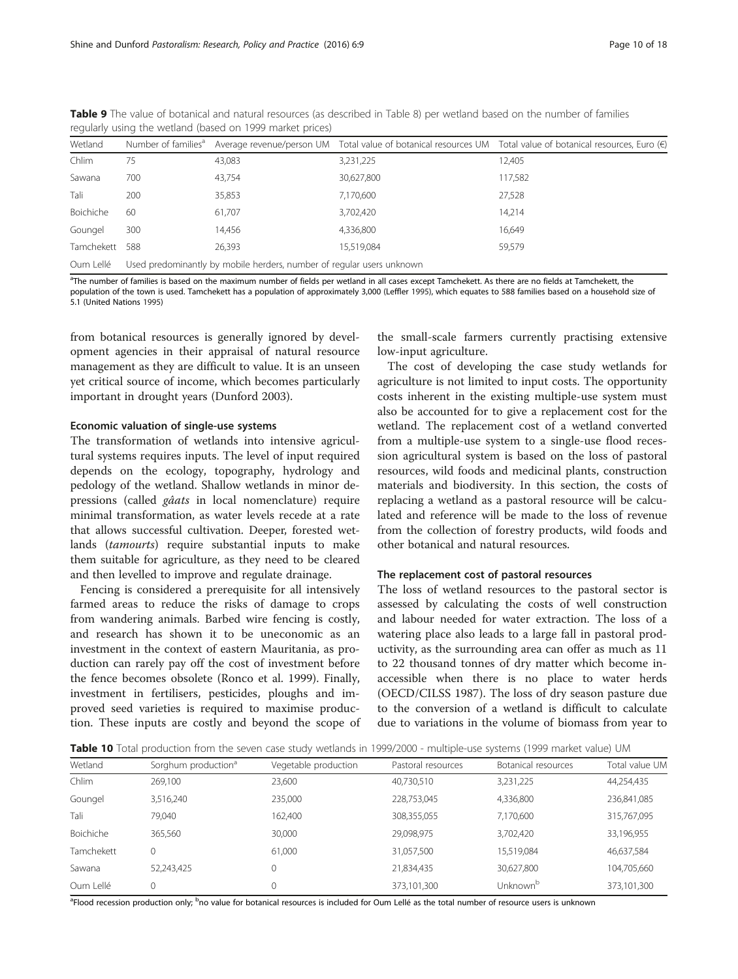| Wetland    | Number of families <sup>a</sup>                                       |        |            | Average revenue/person UM Total value of botanical resources UM Total value of botanical resources, Euro ( $\in$ ) |  |  |  |  |  |  |  |
|------------|-----------------------------------------------------------------------|--------|------------|--------------------------------------------------------------------------------------------------------------------|--|--|--|--|--|--|--|
| Chlim      | 75                                                                    | 43,083 | 3,231,225  | 12,405                                                                                                             |  |  |  |  |  |  |  |
| Sawana     | 700                                                                   | 43,754 | 30,627,800 | 117,582                                                                                                            |  |  |  |  |  |  |  |
| Tali       | 200                                                                   | 35,853 | 7,170,600  | 27,528                                                                                                             |  |  |  |  |  |  |  |
| Boichiche  | 60                                                                    | 61,707 | 3,702,420  | 14.214                                                                                                             |  |  |  |  |  |  |  |
| Goungel    | 300                                                                   | 14,456 | 4,336,800  | 16,649                                                                                                             |  |  |  |  |  |  |  |
| Tamchekett | 588                                                                   | 26,393 | 15,519,084 | 59.579                                                                                                             |  |  |  |  |  |  |  |
| Oum Lellé  | Used predominantly by mobile herders, number of regular users unknown |        |            |                                                                                                                    |  |  |  |  |  |  |  |

<span id="page-9-0"></span>Table 9 The value of botanical and natural resources (as described in Table [8\)](#page-8-0) per wetland based on the number of families regularly using the wetland (based on 1999 market prices)

<sup>a</sup>The number of families is based on the maximum number of fields per wetland in all cases except Tamchekett. As there are no fields at Tamchekett, the population of the town is used. Tamchekett has a population of approximately 3,000 (Leffler [1995](#page-17-0)), which equates to 588 families based on a household size of

5.1 (United Nations [1995\)](#page-17-0)

from botanical resources is generally ignored by development agencies in their appraisal of natural resource management as they are difficult to value. It is an unseen yet critical source of income, which becomes particularly important in drought years (Dunford [2003](#page-16-0)).

### Economic valuation of single-use systems

The transformation of wetlands into intensive agricultural systems requires inputs. The level of input required depends on the ecology, topography, hydrology and pedology of the wetland. Shallow wetlands in minor depressions (called gâats in local nomenclature) require minimal transformation, as water levels recede at a rate that allows successful cultivation. Deeper, forested wetlands (tamourts) require substantial inputs to make them suitable for agriculture, as they need to be cleared and then levelled to improve and regulate drainage.

Fencing is considered a prerequisite for all intensively farmed areas to reduce the risks of damage to crops from wandering animals. Barbed wire fencing is costly, and research has shown it to be uneconomic as an investment in the context of eastern Mauritania, as production can rarely pay off the cost of investment before the fence becomes obsolete (Ronco et al. [1999](#page-17-0)). Finally, investment in fertilisers, pesticides, ploughs and improved seed varieties is required to maximise production. These inputs are costly and beyond the scope of

the small-scale farmers currently practising extensive low-input agriculture.

The cost of developing the case study wetlands for agriculture is not limited to input costs. The opportunity costs inherent in the existing multiple-use system must also be accounted for to give a replacement cost for the wetland. The replacement cost of a wetland converted from a multiple-use system to a single-use flood recession agricultural system is based on the loss of pastoral resources, wild foods and medicinal plants, construction materials and biodiversity. In this section, the costs of replacing a wetland as a pastoral resource will be calculated and reference will be made to the loss of revenue from the collection of forestry products, wild foods and other botanical and natural resources.

### The replacement cost of pastoral resources

The loss of wetland resources to the pastoral sector is assessed by calculating the costs of well construction and labour needed for water extraction. The loss of a watering place also leads to a large fall in pastoral productivity, as the surrounding area can offer as much as 11 to 22 thousand tonnes of dry matter which become inaccessible when there is no place to water herds (OECD/CILSS [1987\)](#page-17-0). The loss of dry season pasture due to the conversion of a wetland is difficult to calculate due to variations in the volume of biomass from year to

Table 10 Total production from the seven case study wetlands in 1999/2000 - multiple-use systems (1999 market value) UM

| Wetland    | Sorghum production <sup>a</sup> | Vegetable production | Pastoral resources | Botanical resources  | Total value UM |
|------------|---------------------------------|----------------------|--------------------|----------------------|----------------|
| Chlim      | 269,100                         | 23,600               | 40,730,510         | 3,231,225            | 44,254,435     |
| Goungel    | 3,516,240                       | 235,000              | 228,753,045        | 4,336,800            | 236,841,085    |
| Tali       | 79.040                          | 162,400              | 308,355,055        | 7,170,600            | 315,767,095    |
| Boichiche  | 365.560                         | 30,000               | 29,098,975         | 3,702,420            | 33,196,955     |
| Tamchekett | 0                               | 61,000               | 31,057,500         | 15,519,084           | 46,637,584     |
| Sawana     | 52,243,425                      | 0                    | 21,834,435         | 30,627,800           | 104,705,660    |
| Oum Lellé  | 0                               |                      | 373,101,300        | Unknown <sup>b</sup> | 373,101,300    |

<sup>a</sup>Flood recession production only; <sup>b</sup>no value for botanical resources is included for Oum Lellé as the total number of resource users is unknown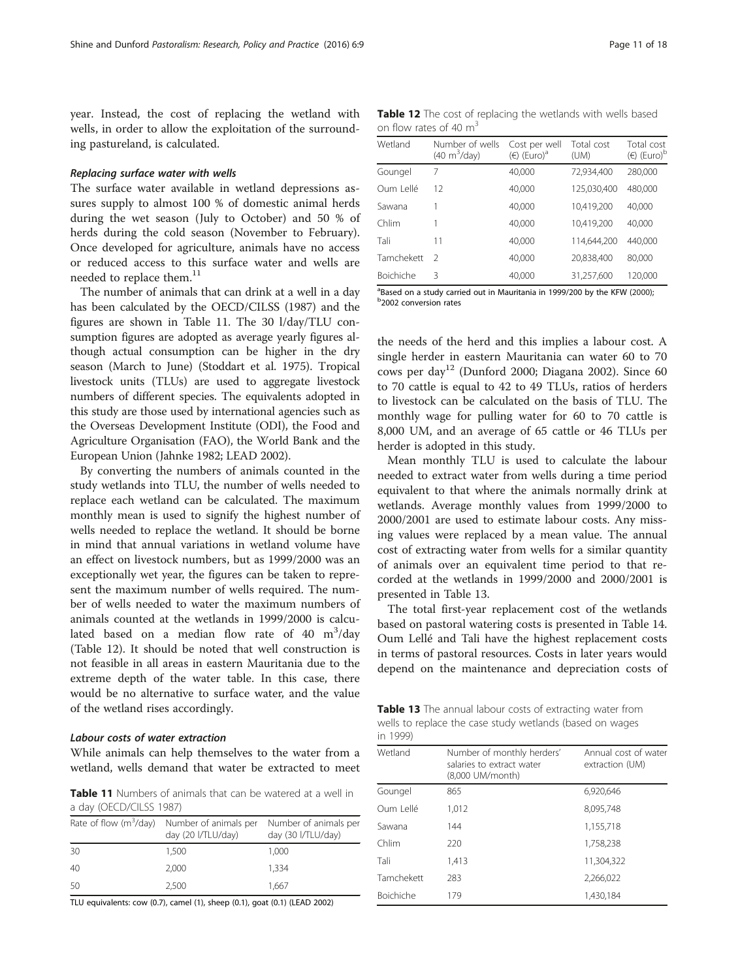year. Instead, the cost of replacing the wetland with wells, in order to allow the exploitation of the surrounding pastureland, is calculated.

### Replacing surface water with wells

The surface water available in wetland depressions assures supply to almost 100 % of domestic animal herds during the wet season (July to October) and 50 % of herds during the cold season (November to February). Once developed for agriculture, animals have no access or reduced access to this surface water and wells are needed to replace them.<sup>11</sup>

The number of animals that can drink at a well in a day has been calculated by the OECD/CILSS ([1987](#page-17-0)) and the figures are shown in Table 11. The 30 l/day/TLU consumption figures are adopted as average yearly figures although actual consumption can be higher in the dry season (March to June) (Stoddart et al. [1975\)](#page-17-0). Tropical livestock units (TLUs) are used to aggregate livestock numbers of different species. The equivalents adopted in this study are those used by international agencies such as the Overseas Development Institute (ODI), the Food and Agriculture Organisation (FAO), the World Bank and the European Union (Jahnke [1982;](#page-17-0) LEAD [2002\)](#page-17-0).

By converting the numbers of animals counted in the study wetlands into TLU, the number of wells needed to replace each wetland can be calculated. The maximum monthly mean is used to signify the highest number of wells needed to replace the wetland. It should be borne in mind that annual variations in wetland volume have an effect on livestock numbers, but as 1999/2000 was an exceptionally wet year, the figures can be taken to represent the maximum number of wells required. The number of wells needed to water the maximum numbers of animals counted at the wetlands in 1999/2000 is calculated based on a median flow rate of 40 m<sup>3</sup>/day (Table 12). It should be noted that well construction is not feasible in all areas in eastern Mauritania due to the extreme depth of the water table. In this case, there would be no alternative to surface water, and the value of the wetland rises accordingly.

### Labour costs of water extraction

While animals can help themselves to the water from a wetland, wells demand that water be extracted to meet

**Table 11** Numbers of animals that can be watered at a well in a day (OECD/CILSS [1987\)](#page-17-0)

| Rate of flow $(m^3/day)$ | Number of animals per<br>day (20 I/TLU/day) | Number of animals per<br>day (30 I/TLU/day) |
|--------------------------|---------------------------------------------|---------------------------------------------|
| 30                       | 1,500                                       | 1,000                                       |
| 40                       | 2,000                                       | 1,334                                       |
| -50                      | 2,500                                       | 1,667                                       |

TLU equivalents: cow (0.7), camel (1), sheep (0.1), goat (0.1) (LEAD 2002)

| Table 12 The cost of replacing the wetlands with wells based |  |  |
|--------------------------------------------------------------|--|--|
| on flow rates of 40 m <sup>3</sup>                           |  |  |

| Wetland          | Number of wells<br>$(40 \text{ m}^3/\text{day})$ | Cost per well<br>(€) (Euro) <sup>a</sup> | Total cost<br>(UM) | Total cost<br>(€) (Euro) <sup>b</sup> |
|------------------|--------------------------------------------------|------------------------------------------|--------------------|---------------------------------------|
| Goungel          | 7                                                | 40.000                                   | 72,934,400         | 280.000                               |
| Oum Lellé        | 12                                               | 40,000                                   | 125,030,400        | 480.000                               |
| Sawana           |                                                  | 40,000                                   | 10,419,200         | 40,000                                |
| Chlim            |                                                  | 40.000                                   | 10.419.200         | 40.000                                |
| Tali             | 11                                               | 40,000                                   | 114,644,200        | 440,000                               |
| Tamchekett       | $\mathcal{P}$                                    | 40.000                                   | 20,838,400         | 80.000                                |
| <b>Boichiche</b> | ζ                                                | 40.000                                   | 31,257,600         | 120,000                               |

<sup>a</sup>Based on a study carried out in Mauritania in 1999/200 by the KFW [\(2000\)](#page-17-0), both on the state of the state state. <sup>b</sup>2002 conversion rates

the needs of the herd and this implies a labour cost. A single herder in eastern Mauritania can water 60 to 70 cows per day<sup>12</sup> (Dunford [2000;](#page-16-0) Diagana [2002](#page-16-0)). Since 60 to 70 cattle is equal to 42 to 49 TLUs, ratios of herders to livestock can be calculated on the basis of TLU. The monthly wage for pulling water for 60 to 70 cattle is 8,000 UM, and an average of 65 cattle or 46 TLUs per herder is adopted in this study.

Mean monthly TLU is used to calculate the labour needed to extract water from wells during a time period equivalent to that where the animals normally drink at wetlands. Average monthly values from 1999/2000 to 2000/2001 are used to estimate labour costs. Any missing values were replaced by a mean value. The annual cost of extracting water from wells for a similar quantity of animals over an equivalent time period to that recorded at the wetlands in 1999/2000 and 2000/2001 is presented in Table 13.

The total first-year replacement cost of the wetlands based on pastoral watering costs is presented in Table [14](#page-11-0). Oum Lellé and Tali have the highest replacement costs in terms of pastoral resources. Costs in later years would depend on the maintenance and depreciation costs of

Table 13 The annual labour costs of extracting water from wells to replace the case study wetlands (based on wages in 1999)

| Wetland          | Number of monthly herders'<br>salaries to extract water<br>(8,000 UM/month) | Annual cost of water<br>extraction (UM) |
|------------------|-----------------------------------------------------------------------------|-----------------------------------------|
| Goungel          | 865                                                                         | 6,920,646                               |
| Oum Lellé        | 1.012                                                                       | 8,095,748                               |
| Sawana           | 144                                                                         | 1,155,718                               |
| Chlim            | 220                                                                         | 1,758,238                               |
| Tali             | 1,413                                                                       | 11,304,322                              |
| Tamchekett       | 283                                                                         | 2,266,022                               |
| <b>Boichiche</b> | 179                                                                         | 1,430,184                               |
|                  |                                                                             |                                         |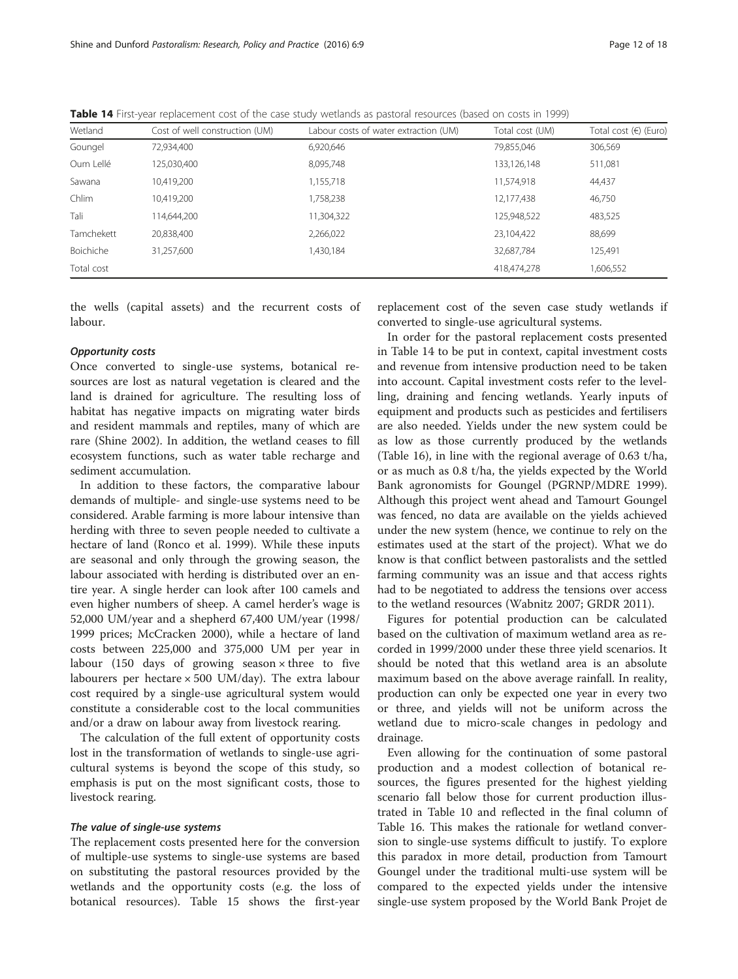<span id="page-11-0"></span>

| <b>Table 14</b> First-vear replacement cost of the case study wetlands as pastoral resources (based on costs in 1999) |  |  |
|-----------------------------------------------------------------------------------------------------------------------|--|--|
|-----------------------------------------------------------------------------------------------------------------------|--|--|

| Wetland    | Cost of well construction (UM) | Labour costs of water extraction (UM) | Total cost (UM) | Total cost $(\epsilon)$ (Euro) |
|------------|--------------------------------|---------------------------------------|-----------------|--------------------------------|
| Goungel    | 72,934,400                     | 6,920,646                             | 79,855,046      | 306,569                        |
| Oum Lellé  | 125,030,400                    | 8,095,748                             | 133,126,148     | 511,081                        |
| Sawana     | 10,419,200                     | 1,155,718                             | 11,574,918      | 44,437                         |
| Chlim      | 10,419,200                     | ,758,238                              | 12,177,438      | 46,750                         |
| Tali       | 114,644,200                    | 11,304,322                            | 125,948,522     | 483,525                        |
| Tamchekett | 20,838,400                     | 2,266,022                             | 23,104,422      | 88,699                         |
| Boichiche  | 31.257.600                     | 1,430,184                             | 32,687,784      | 125,491                        |
| Total cost |                                |                                       | 418,474,278     | 1,606,552                      |

the wells (capital assets) and the recurrent costs of labour.

### Opportunity costs

Once converted to single-use systems, botanical resources are lost as natural vegetation is cleared and the land is drained for agriculture. The resulting loss of habitat has negative impacts on migrating water birds and resident mammals and reptiles, many of which are rare (Shine [2002\)](#page-17-0). In addition, the wetland ceases to fill ecosystem functions, such as water table recharge and sediment accumulation.

In addition to these factors, the comparative labour demands of multiple- and single-use systems need to be considered. Arable farming is more labour intensive than herding with three to seven people needed to cultivate a hectare of land (Ronco et al. [1999\)](#page-17-0). While these inputs are seasonal and only through the growing season, the labour associated with herding is distributed over an entire year. A single herder can look after 100 camels and even higher numbers of sheep. A camel herder's wage is 52,000 UM/year and a shepherd 67,400 UM/year (1998/ 1999 prices; McCracken [2000](#page-17-0)), while a hectare of land costs between 225,000 and 375,000 UM per year in labour (150 days of growing season  $\times$  three to five labourers per hectare × 500 UM/day). The extra labour cost required by a single-use agricultural system would constitute a considerable cost to the local communities and/or a draw on labour away from livestock rearing.

The calculation of the full extent of opportunity costs lost in the transformation of wetlands to single-use agricultural systems is beyond the scope of this study, so emphasis is put on the most significant costs, those to livestock rearing.

#### The value of single-use systems

The replacement costs presented here for the conversion of multiple-use systems to single-use systems are based on substituting the pastoral resources provided by the wetlands and the opportunity costs (e.g. the loss of botanical resources). Table [15](#page-12-0) shows the first-year

replacement cost of the seven case study wetlands if converted to single-use agricultural systems.

In order for the pastoral replacement costs presented in Table 14 to be put in context, capital investment costs and revenue from intensive production need to be taken into account. Capital investment costs refer to the levelling, draining and fencing wetlands. Yearly inputs of equipment and products such as pesticides and fertilisers are also needed. Yields under the new system could be as low as those currently produced by the wetlands (Table [16](#page-12-0)), in line with the regional average of 0.63 t/ha, or as much as 0.8 t/ha, the yields expected by the World Bank agronomists for Goungel (PGRNP/MDRE [1999](#page-17-0)). Although this project went ahead and Tamourt Goungel was fenced, no data are available on the yields achieved under the new system (hence, we continue to rely on the estimates used at the start of the project). What we do know is that conflict between pastoralists and the settled farming community was an issue and that access rights had to be negotiated to address the tensions over access to the wetland resources (Wabnitz [2007;](#page-17-0) GRDR [2011\)](#page-16-0).

Figures for potential production can be calculated based on the cultivation of maximum wetland area as recorded in 1999/2000 under these three yield scenarios. It should be noted that this wetland area is an absolute maximum based on the above average rainfall. In reality, production can only be expected one year in every two or three, and yields will not be uniform across the wetland due to micro-scale changes in pedology and drainage.

Even allowing for the continuation of some pastoral production and a modest collection of botanical resources, the figures presented for the highest yielding scenario fall below those for current production illustrated in Table [10](#page-9-0) and reflected in the final column of Table [16.](#page-12-0) This makes the rationale for wetland conversion to single-use systems difficult to justify. To explore this paradox in more detail, production from Tamourt Goungel under the traditional multi-use system will be compared to the expected yields under the intensive single-use system proposed by the World Bank Projet de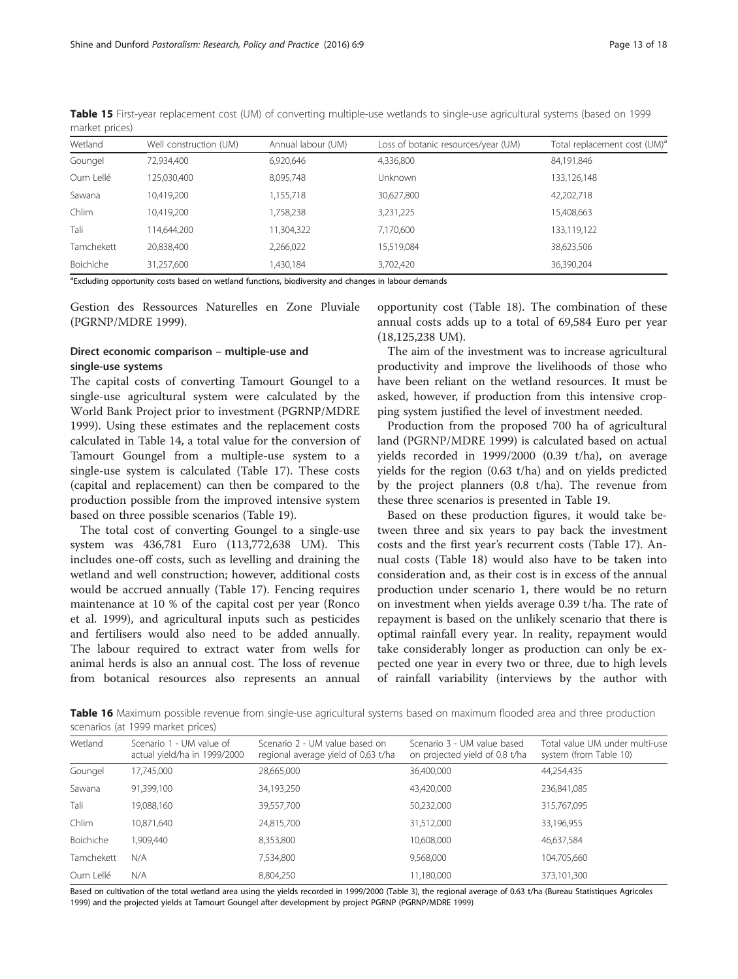| Wetland    | Well construction (UM) | Annual labour (UM) | Loss of botanic resources/year (UM) | Total replacement cost (UM) <sup>a</sup> |
|------------|------------------------|--------------------|-------------------------------------|------------------------------------------|
| Goungel    | 72,934,400             | 6,920,646          | 4,336,800                           | 84,191,846                               |
| Oum Lellé  | 125,030,400            | 8,095,748          | Unknown                             | 133,126,148                              |
| Sawana     | 10,419,200             | 1,155,718          | 30,627,800                          | 42,202,718                               |
| Chlim      | 10,419,200             | 1,758,238          | 3,231,225                           | 15,408,663                               |
| Tali       | 114.644.200            | 11,304,322         | 7,170,600                           | 133,119,122                              |
| Tamchekett | 20,838,400             | 2,266,022          | 15,519,084                          | 38,623,506                               |
| Boichiche  | 31,257,600             | 1,430,184          | 3,702,420                           | 36,390,204                               |
|            |                        |                    |                                     |                                          |

<span id="page-12-0"></span>Table 15 First-year replacement cost (UM) of converting multiple-use wetlands to single-use agricultural systems (based on 1999 market prices)

<sup>a</sup>Excluding opportunity costs based on wetland functions, biodiversity and changes in labour demands

Gestion des Ressources Naturelles en Zone Pluviale (PGRNP/MDRE [1999\)](#page-17-0).

### Direct economic comparison – multiple-use and single-use systems

The capital costs of converting Tamourt Goungel to a single-use agricultural system were calculated by the World Bank Project prior to investment (PGRNP/MDRE [1999](#page-17-0)). Using these estimates and the replacement costs calculated in Table [14](#page-11-0), a total value for the conversion of Tamourt Goungel from a multiple-use system to a single-use system is calculated (Table [17\)](#page-13-0). These costs (capital and replacement) can then be compared to the production possible from the improved intensive system based on three possible scenarios (Table [19](#page-14-0)).

The total cost of converting Goungel to a single-use system was 436,781 Euro (113,772,638 UM). This includes one-off costs, such as levelling and draining the wetland and well construction; however, additional costs would be accrued annually (Table [17](#page-13-0)). Fencing requires maintenance at 10 % of the capital cost per year (Ronco et al. [1999\)](#page-17-0), and agricultural inputs such as pesticides and fertilisers would also need to be added annually. The labour required to extract water from wells for animal herds is also an annual cost. The loss of revenue from botanical resources also represents an annual opportunity cost (Table [18](#page-13-0)). The combination of these annual costs adds up to a total of 69,584 Euro per year (18,125,238 UM).

The aim of the investment was to increase agricultural productivity and improve the livelihoods of those who have been reliant on the wetland resources. It must be asked, however, if production from this intensive cropping system justified the level of investment needed.

Production from the proposed 700 ha of agricultural land (PGRNP/MDRE [1999\)](#page-17-0) is calculated based on actual yields recorded in 1999/2000 (0.39 t/ha), on average yields for the region (0.63 t/ha) and on yields predicted by the project planners (0.8 t/ha). The revenue from these three scenarios is presented in Table [19.](#page-14-0)

Based on these production figures, it would take between three and six years to pay back the investment costs and the first year's recurrent costs (Table [17\)](#page-13-0). Annual costs (Table [18](#page-13-0)) would also have to be taken into consideration and, as their cost is in excess of the annual production under scenario 1, there would be no return on investment when yields average 0.39 t/ha. The rate of repayment is based on the unlikely scenario that there is optimal rainfall every year. In reality, repayment would take considerably longer as production can only be expected one year in every two or three, due to high levels of rainfall variability (interviews by the author with

Table 16 Maximum possible revenue from single-use agricultural systems based on maximum flooded area and three production scenarios (at 1999 market prices)

| Wetland    | Scenario 1 - UM value of<br>actual yield/ha in 1999/2000 | Scenario 2 - UM value based on<br>regional average yield of 0.63 t/ha | Scenario 3 - UM value based<br>on projected yield of 0.8 t/ha | Total value UM under multi-use<br>system (from Table 10) |
|------------|----------------------------------------------------------|-----------------------------------------------------------------------|---------------------------------------------------------------|----------------------------------------------------------|
| Goungel    | 17,745,000                                               | 28,665,000                                                            | 36,400,000                                                    | 44,254,435                                               |
| Sawana     | 91,399,100                                               | 34,193,250                                                            | 43,420,000                                                    | 236,841,085                                              |
| Tali       | 19,088,160                                               | 39,557,700                                                            | 50,232,000                                                    | 315,767,095                                              |
| Chlim      | 10,871,640                                               | 24,815,700                                                            | 31,512,000                                                    | 33,196,955                                               |
| Boichiche  | 1,909,440                                                | 8,353,800                                                             | 10,608,000                                                    | 46,637,584                                               |
| Tamchekett | N/A                                                      | 7,534,800                                                             | 9,568,000                                                     | 104,705,660                                              |
| Oum Lellé  | N/A                                                      | 8,804,250                                                             | 11,180,000                                                    | 373,101,300                                              |

Based on cultivation of the total wetland area using the yields recorded in 1999/2000 (Table [3](#page-6-0)), the regional average of 0.63 t/ha (Bureau Statistiques Agricoles [1999](#page-16-0)) and the projected yields at Tamourt Goungel after development by project PGRNP (PGRNP/MDRE [1999](#page-17-0))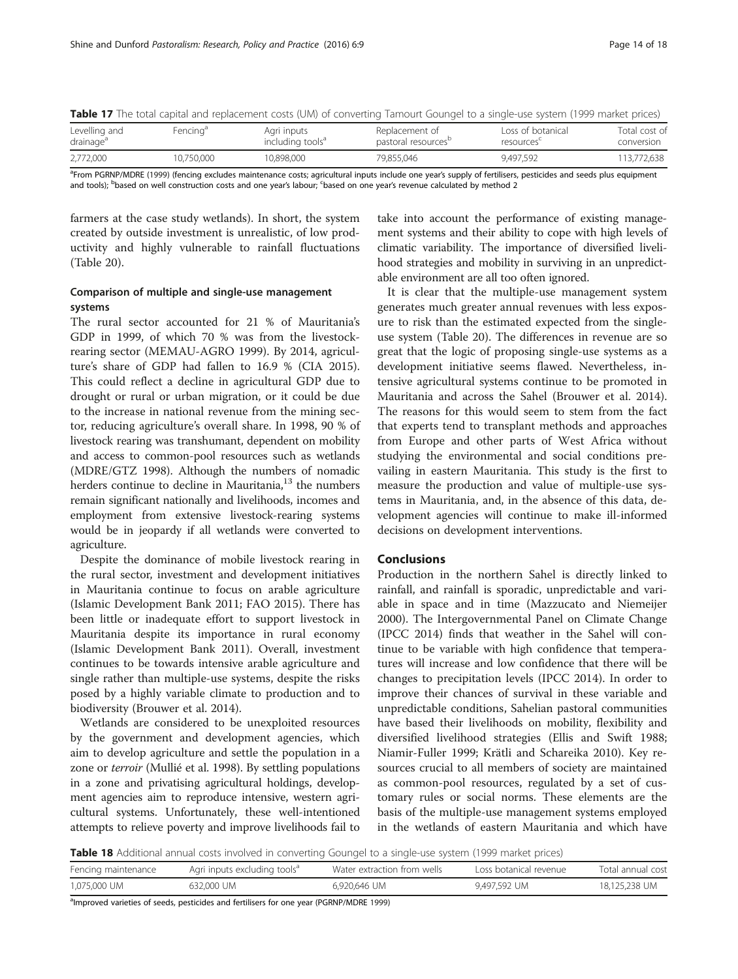<span id="page-13-0"></span>

|  |  | Table 17 The total capital and replacement costs (UM) of converting Tamourt Goungel to a single-use system (1999 market prices) |
|--|--|---------------------------------------------------------------------------------------------------------------------------------|
|  |  |                                                                                                                                 |

| Levelling and         | Fencing <sup>®</sup> | Agri inputs                  | Replacement of                  | Loss of botanical      | Total cost of |
|-----------------------|----------------------|------------------------------|---------------------------------|------------------------|---------------|
| drainage <sup>d</sup> |                      | including tools <sup>d</sup> | pastoral resources <sup>D</sup> | resources <sup>®</sup> | conversion    |
| 2,772,000             | 10.750.000           | 10.898.000                   | 79.855.046                      | 9.497.592              | 113.772.638   |

a<br>Trom PGRNP/MDRE ([1999\)](#page-17-0) (fencing excludes maintenance costs; agricultural inputs include one year's supply of fertilisers, pesticides and seeds plus equipment and tools); <sup>b</sup>based on well construction costs and one year's labour; <sup>c</sup>based on one year's revenue calculated by method 2

farmers at the case study wetlands). In short, the system created by outside investment is unrealistic, of low productivity and highly vulnerable to rainfall fluctuations (Table [20\)](#page-14-0).

### Comparison of multiple and single-use management systems

The rural sector accounted for 21 % of Mauritania's GDP in 1999, of which 70 % was from the livestockrearing sector (MEMAU-AGRO [1999](#page-17-0)). By 2014, agriculture's share of GDP had fallen to 16.9 % (CIA [2015](#page-16-0)). This could reflect a decline in agricultural GDP due to drought or rural or urban migration, or it could be due to the increase in national revenue from the mining sector, reducing agriculture's overall share. In 1998, 90 % of livestock rearing was transhumant, dependent on mobility and access to common-pool resources such as wetlands (MDRE/GTZ [1998](#page-17-0)). Although the numbers of nomadic herders continue to decline in Mauritania,<sup>13</sup> the numbers remain significant nationally and livelihoods, incomes and employment from extensive livestock-rearing systems would be in jeopardy if all wetlands were converted to agriculture.

Despite the dominance of mobile livestock rearing in the rural sector, investment and development initiatives in Mauritania continue to focus on arable agriculture (Islamic Development Bank [2011](#page-17-0); FAO [2015\)](#page-16-0). There has been little or inadequate effort to support livestock in Mauritania despite its importance in rural economy (Islamic Development Bank [2011\)](#page-17-0). Overall, investment continues to be towards intensive arable agriculture and single rather than multiple-use systems, despite the risks posed by a highly variable climate to production and to biodiversity (Brouwer et al. [2014\)](#page-16-0).

Wetlands are considered to be unexploited resources by the government and development agencies, which aim to develop agriculture and settle the population in a zone or terroir (Mullié et al. [1998\)](#page-17-0). By settling populations in a zone and privatising agricultural holdings, development agencies aim to reproduce intensive, western agricultural systems. Unfortunately, these well-intentioned attempts to relieve poverty and improve livelihoods fail to take into account the performance of existing management systems and their ability to cope with high levels of climatic variability. The importance of diversified livelihood strategies and mobility in surviving in an unpredictable environment are all too often ignored.

It is clear that the multiple-use management system generates much greater annual revenues with less exposure to risk than the estimated expected from the singleuse system (Table [20](#page-14-0)). The differences in revenue are so great that the logic of proposing single-use systems as a development initiative seems flawed. Nevertheless, intensive agricultural systems continue to be promoted in Mauritania and across the Sahel (Brouwer et al. [2014](#page-16-0)). The reasons for this would seem to stem from the fact that experts tend to transplant methods and approaches from Europe and other parts of West Africa without studying the environmental and social conditions prevailing in eastern Mauritania. This study is the first to measure the production and value of multiple-use systems in Mauritania, and, in the absence of this data, development agencies will continue to make ill-informed decisions on development interventions.

### Conclusions

Production in the northern Sahel is directly linked to rainfall, and rainfall is sporadic, unpredictable and variable in space and in time (Mazzucato and Niemeijer [2000](#page-17-0)). The Intergovernmental Panel on Climate Change (IPCC [2014](#page-17-0)) finds that weather in the Sahel will continue to be variable with high confidence that temperatures will increase and low confidence that there will be changes to precipitation levels (IPCC [2014](#page-17-0)). In order to improve their chances of survival in these variable and unpredictable conditions, Sahelian pastoral communities have based their livelihoods on mobility, flexibility and diversified livelihood strategies (Ellis and Swift [1988](#page-16-0); Niamir-Fuller [1999](#page-17-0); Krätli and Schareika [2010\)](#page-17-0). Key resources crucial to all members of society are maintained as common-pool resources, regulated by a set of customary rules or social norms. These elements are the basis of the multiple-use management systems employed in the wetlands of eastern Mauritania and which have

Table 18 Additional annual costs involved in converting Goungel to a single-use system (1999 market prices)

| Fencing maintenance | Agri inputs excluding tools <sup>a</sup> | Water extraction from wells | Loss botanical revenue | Total annual cost |  |  |
|---------------------|------------------------------------------|-----------------------------|------------------------|-------------------|--|--|
| 1,075,000 UM        | 632.000 UM                               | 6.920.646 UM                | 9.497.592 UM           | 18.125.238 UM     |  |  |

<sup>a</sup>lmproved varieties of seeds, pesticides and fertilisers for one year (PGRNP/MDRE [1999](#page-17-0))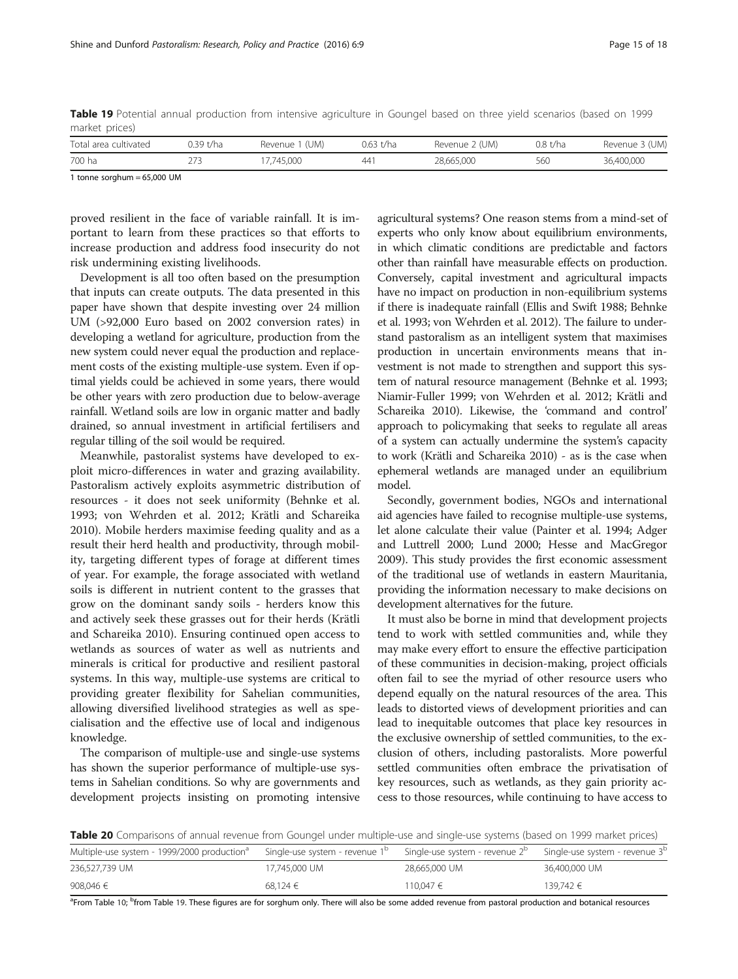<span id="page-14-0"></span>Table 19 Potential annual production from intensive agriculture in Goungel based on three yield scenarios (based on 1999 market prices)

| Total area cultivated | 0.39 t/ha | (UM)<br>Revenue 1 | 0.63 t/ha | Revenue 2 (UM) | $0.8$ t/ha | Revenue 3 (UM) |
|-----------------------|-----------|-------------------|-----------|----------------|------------|----------------|
| 700 ha                |           | 7,745,000         | 441       | 28.665.000     | 56C        | 36,400,000     |

1 tonne sorghum  $= 65,000$  UM

proved resilient in the face of variable rainfall. It is important to learn from these practices so that efforts to increase production and address food insecurity do not risk undermining existing livelihoods.

Development is all too often based on the presumption that inputs can create outputs. The data presented in this paper have shown that despite investing over 24 million UM (>92,000 Euro based on 2002 conversion rates) in developing a wetland for agriculture, production from the new system could never equal the production and replacement costs of the existing multiple-use system. Even if optimal yields could be achieved in some years, there would be other years with zero production due to below-average rainfall. Wetland soils are low in organic matter and badly drained, so annual investment in artificial fertilisers and regular tilling of the soil would be required.

Meanwhile, pastoralist systems have developed to exploit micro-differences in water and grazing availability. Pastoralism actively exploits asymmetric distribution of resources - it does not seek uniformity (Behnke et al. [1993](#page-16-0); von Wehrden et al. [2012](#page-17-0); Krätli and Schareika [2010](#page-17-0)). Mobile herders maximise feeding quality and as a result their herd health and productivity, through mobility, targeting different types of forage at different times of year. For example, the forage associated with wetland soils is different in nutrient content to the grasses that grow on the dominant sandy soils - herders know this and actively seek these grasses out for their herds (Krätli and Schareika [2010](#page-17-0)). Ensuring continued open access to wetlands as sources of water as well as nutrients and minerals is critical for productive and resilient pastoral systems. In this way, multiple-use systems are critical to providing greater flexibility for Sahelian communities, allowing diversified livelihood strategies as well as specialisation and the effective use of local and indigenous knowledge.

The comparison of multiple-use and single-use systems has shown the superior performance of multiple-use systems in Sahelian conditions. So why are governments and development projects insisting on promoting intensive agricultural systems? One reason stems from a mind-set of experts who only know about equilibrium environments, in which climatic conditions are predictable and factors other than rainfall have measurable effects on production. Conversely, capital investment and agricultural impacts have no impact on production in non-equilibrium systems if there is inadequate rainfall (Ellis and Swift [1988](#page-16-0); Behnke et al. [1993](#page-16-0); von Wehrden et al. [2012\)](#page-17-0). The failure to understand pastoralism as an intelligent system that maximises production in uncertain environments means that investment is not made to strengthen and support this system of natural resource management (Behnke et al. [1993](#page-16-0); Niamir-Fuller [1999](#page-17-0); von Wehrden et al. [2012;](#page-17-0) Krätli and Schareika [2010](#page-17-0)). Likewise, the 'command and control' approach to policymaking that seeks to regulate all areas of a system can actually undermine the system's capacity to work (Krätli and Schareika [2010\)](#page-17-0) - as is the case when ephemeral wetlands are managed under an equilibrium model.

Secondly, government bodies, NGOs and international aid agencies have failed to recognise multiple-use systems, let alone calculate their value (Painter et al. [1994](#page-17-0); Adger and Luttrell [2000](#page-16-0); Lund [2000](#page-17-0); Hesse and MacGregor [2009](#page-17-0)). This study provides the first economic assessment of the traditional use of wetlands in eastern Mauritania, providing the information necessary to make decisions on development alternatives for the future.

It must also be borne in mind that development projects tend to work with settled communities and, while they may make every effort to ensure the effective participation of these communities in decision-making, project officials often fail to see the myriad of other resource users who depend equally on the natural resources of the area. This leads to distorted views of development priorities and can lead to inequitable outcomes that place key resources in the exclusive ownership of settled communities, to the exclusion of others, including pastoralists. More powerful settled communities often embrace the privatisation of key resources, such as wetlands, as they gain priority access to those resources, while continuing to have access to

Table 20 Comparisons of annual revenue from Goungel under multiple-use and single-use systems (based on 1999 market prices)

| Multiple-use system - 1999/2000 production <sup>d</sup> | Single-use system - revenue 1 <sup>0</sup> | Single-use system - revenue 2 <sup>0</sup> | Single-use system - revenue 3 <sup>0</sup> |
|---------------------------------------------------------|--------------------------------------------|--------------------------------------------|--------------------------------------------|
| 236,527,739 UM                                          | 17.745.000 UM                              | 28.665.000 UM                              | 36,400,000 UM                              |
| 908.046 €                                               | 68.124 €                                   | 110.047 €                                  | 139.742 €                                  |

<sup>a</sup>From Table [10;](#page-9-0) <sup>b</sup>from Table [19](#page-13-0). These figures are for sorghum only. There will also be some added revenue from pastoral production and botanical resources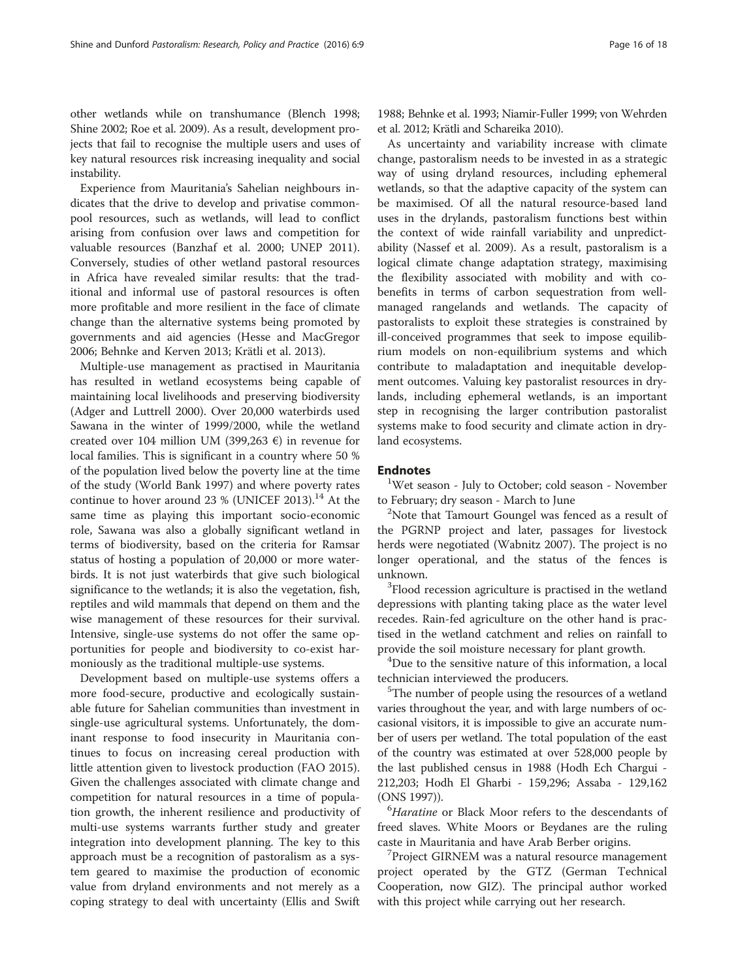other wetlands while on transhumance (Blench [1998](#page-16-0); Shine [2002;](#page-17-0) Roe et al. [2009](#page-17-0)). As a result, development projects that fail to recognise the multiple users and uses of key natural resources risk increasing inequality and social instability.

Experience from Mauritania's Sahelian neighbours indicates that the drive to develop and privatise commonpool resources, such as wetlands, will lead to conflict arising from confusion over laws and competition for valuable resources (Banzhaf et al. [2000](#page-16-0); UNEP [2011](#page-17-0)). Conversely, studies of other wetland pastoral resources in Africa have revealed similar results: that the traditional and informal use of pastoral resources is often more profitable and more resilient in the face of climate change than the alternative systems being promoted by governments and aid agencies (Hesse and MacGregor [2006](#page-16-0); Behnke and Kerven [2013](#page-16-0); Krätli et al. [2013\)](#page-17-0).

Multiple-use management as practised in Mauritania has resulted in wetland ecosystems being capable of maintaining local livelihoods and preserving biodiversity (Adger and Luttrell [2000](#page-16-0)). Over 20,000 waterbirds used Sawana in the winter of 1999/2000, while the wetland created over 104 million UM (399,263  $\epsilon$ ) in revenue for local families. This is significant in a country where 50 % of the population lived below the poverty line at the time of the study (World Bank [1997](#page-17-0)) and where poverty rates continue to hover around 23 % (UNICEF [2013\)](#page-17-0).<sup>14</sup> At the same time as playing this important socio-economic role, Sawana was also a globally significant wetland in terms of biodiversity, based on the criteria for Ramsar status of hosting a population of 20,000 or more waterbirds. It is not just waterbirds that give such biological significance to the wetlands; it is also the vegetation, fish, reptiles and wild mammals that depend on them and the wise management of these resources for their survival. Intensive, single-use systems do not offer the same opportunities for people and biodiversity to co-exist harmoniously as the traditional multiple-use systems.

Development based on multiple-use systems offers a more food-secure, productive and ecologically sustainable future for Sahelian communities than investment in single-use agricultural systems. Unfortunately, the dominant response to food insecurity in Mauritania continues to focus on increasing cereal production with little attention given to livestock production (FAO [2015](#page-16-0)). Given the challenges associated with climate change and competition for natural resources in a time of population growth, the inherent resilience and productivity of multi-use systems warrants further study and greater integration into development planning. The key to this approach must be a recognition of pastoralism as a system geared to maximise the production of economic value from dryland environments and not merely as a coping strategy to deal with uncertainty (Ellis and Swift

[1988](#page-16-0); Behnke et al. [1993;](#page-16-0) Niamir-Fuller [1999;](#page-17-0) von Wehrden et al. [2012;](#page-17-0) Krätli and Schareika [2010\)](#page-17-0).

As uncertainty and variability increase with climate change, pastoralism needs to be invested in as a strategic way of using dryland resources, including ephemeral wetlands, so that the adaptive capacity of the system can be maximised. Of all the natural resource-based land uses in the drylands, pastoralism functions best within the context of wide rainfall variability and unpredictability (Nassef et al. [2009\)](#page-17-0). As a result, pastoralism is a logical climate change adaptation strategy, maximising the flexibility associated with mobility and with cobenefits in terms of carbon sequestration from wellmanaged rangelands and wetlands. The capacity of pastoralists to exploit these strategies is constrained by ill-conceived programmes that seek to impose equilibrium models on non-equilibrium systems and which contribute to maladaptation and inequitable development outcomes. Valuing key pastoralist resources in drylands, including ephemeral wetlands, is an important step in recognising the larger contribution pastoralist systems make to food security and climate action in dryland ecosystems.

### **Endnotes**

<sup>1</sup>Wet season - July to October; cold season - November to February; dry season - March to June <sup>2</sup>

<sup>2</sup>Note that Tamourt Goungel was fenced as a result of the PGRNP project and later, passages for livestock herds were negotiated (Wabnitz [2007](#page-17-0)). The project is no longer operational, and the status of the fences is unknown.

<sup>3</sup>Flood recession agriculture is practised in the wetland depressions with planting taking place as the water level recedes. Rain-fed agriculture on the other hand is practised in the wetland catchment and relies on rainfall to provide the soil moisture necessary for plant growth. <sup>4</sup>

<sup>4</sup>Due to the sensitive nature of this information, a local technician interviewed the producers.

<sup>5</sup>The number of people using the resources of a wetland varies throughout the year, and with large numbers of occasional visitors, it is impossible to give an accurate number of users per wetland. The total population of the east of the country was estimated at over 528,000 people by the last published census in 1988 (Hodh Ech Chargui - 212,203; Hodh El Gharbi - 159,296; Assaba - 129,162  $(ONS 1997)$  $(ONS 1997)$ ).

<sup>6</sup>Haratine or Black Moor refers to the descendants of freed slaves. White Moors or Beydanes are the ruling caste in Mauritania and have Arab Berber origins. <sup>7</sup>

Project GIRNEM was a natural resource management project operated by the GTZ (German Technical Cooperation, now GIZ). The principal author worked with this project while carrying out her research.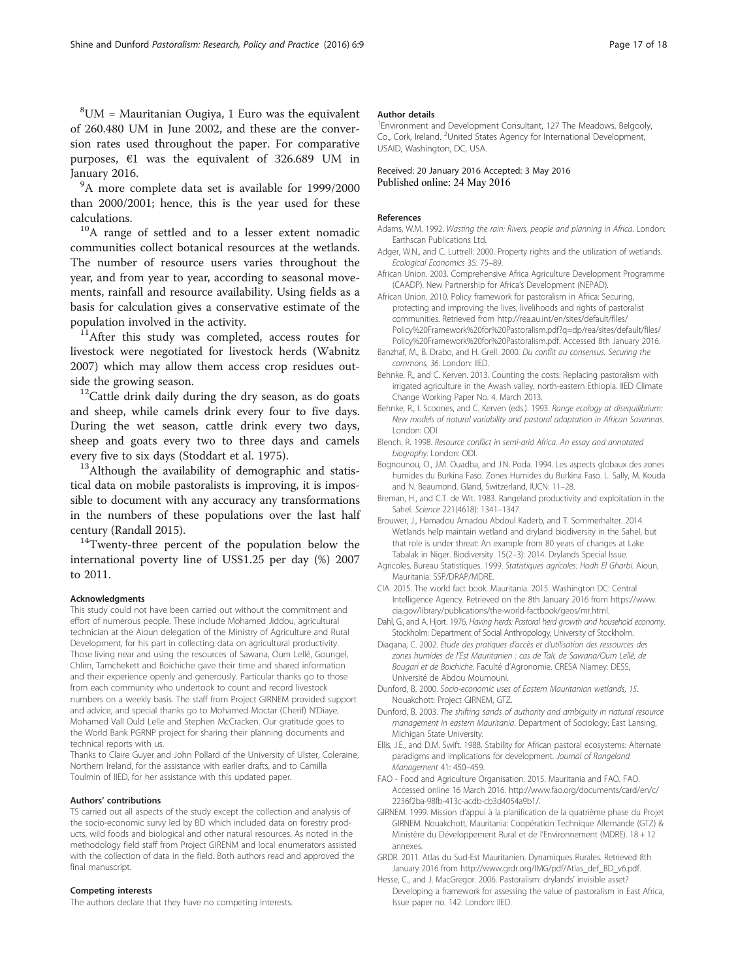<span id="page-16-0"></span>8 UM = Mauritanian Ougiya, 1 Euro was the equivalent of 260.480 UM in June 2002, and these are the conversion rates used throughout the paper. For comparative purposes, €1 was the equivalent of 326.689 UM in January 2016.

<sup>9</sup>A more complete data set is available for 1999/2000 than 2000/2001; hence, this is the year used for these calculations. 10A range of settled and to a lesser extent nomadic

communities collect botanical resources at the wetlands. The number of resource users varies throughout the year, and from year to year, according to seasonal movements, rainfall and resource availability. Using fields as a basis for calculation gives a conservative estimate of the population involved in the activity.<br><sup>11</sup>After this study was completed, access routes for

livestock were negotiated for livestock herds (Wabnitz [2007](#page-17-0)) which may allow them access crop residues out-

side the growing season.<br> $12$ Cattle drink daily during the dry season, as do goats and sheep, while camels drink every four to five days. During the wet season, cattle drink every two days, sheep and goats every two to three days and camels

every five to six days (Stoddart et al. [1975\)](#page-17-0).<br><sup>13</sup>Although the availability of demographic and statistical data on mobile pastoralists is improving, it is impossible to document with any accuracy any transformations in the numbers of these populations over the last half century (Randall [2015\)](#page-17-0).<br> $14$ Twenty-three percent of the population below the

international poverty line of US\$1.25 per day (%) 2007 to 2011.

#### Acknowledgments

This study could not have been carried out without the commitment and effort of numerous people. These include Mohamed Jiddou, agricultural technician at the Aioun delegation of the Ministry of Agriculture and Rural Development, for his part in collecting data on agricultural productivity. Those living near and using the resources of Sawana, Oum Lellé, Goungel, Chlim, Tamchekett and Boichiche gave their time and shared information and their experience openly and generously. Particular thanks go to those from each community who undertook to count and record livestock numbers on a weekly basis. The staff from Project GIRNEM provided support and advice, and special thanks go to Mohamed Moctar (Cherif) N'Diaye, Mohamed Vall Ould Lelle and Stephen McCracken. Our gratitude goes to the World Bank PGRNP project for sharing their planning documents and technical reports with us.

Thanks to Claire Guyer and John Pollard of the University of Ulster, Coleraine, Northern Ireland, for the assistance with earlier drafts, and to Camilla Toulmin of IIED, for her assistance with this updated paper.

#### Authors' contributions

TS carried out all aspects of the study except the collection and analysis of the socio-economic survy led by BD which included data on forestry products, wild foods and biological and other natural resources. As noted in the methodology field staff from Project GIRENM and local enumerators assisted with the collection of data in the field. Both authors read and approved the final manuscript.

### Competing interests

The authors declare that they have no competing interests.

#### Author details

1 Environment and Development Consultant, 127 The Meadows, Belgooly, Co., Cork, Ireland. <sup>2</sup>United States Agency for International Development USAID, Washington, DC, USA.

### Received: 20 January 2016 Accepted: 3 May 2016 Published online: 24 May 2016

#### References

- Adams, W.M. 1992. Wasting the rain: Rivers, people and planning in Africa. London: Earthscan Publications Ltd.
- Adger, W.N., and C. Luttrell. 2000. Property rights and the utilization of wetlands. Ecological Economics 35: 75–89.
- African Union. 2003. Comprehensive Africa Agriculture Development Programme (CAADP). New Partnership for Africa's Development (NEPAD).

African Union. 2010. Policy framework for pastoralism in Africa: Securing, protecting and improving the lives, livelihoods and rights of pastoralist communities. Retrieved from [http://rea.au.int/en/sites/default/files/](http://rea.au.int/en/sites/default/files/Policy%20Framework%20for%20Pastoralism.pdf?q=dp/rea/sites/default/files/Policy%20Framework%20for%20Pastoralism.pdf) [Policy%20Framework%20for%20Pastoralism.pdf?q=dp/rea/sites/default/files/](http://rea.au.int/en/sites/default/files/Policy%20Framework%20for%20Pastoralism.pdf?q=dp/rea/sites/default/files/Policy%20Framework%20for%20Pastoralism.pdf) [Policy%20Framework%20for%20Pastoralism.pdf](http://rea.au.int/en/sites/default/files/Policy%20Framework%20for%20Pastoralism.pdf?q=dp/rea/sites/default/files/Policy%20Framework%20for%20Pastoralism.pdf). Accessed 8th January 2016.

- Banzhaf, M., B. Drabo, and H. Grell. 2000. Du conflit au consensus. Securing the commons, 36. London: IIED.
- Behnke, R., and C. Kerven. 2013. Counting the costs: Replacing pastoralism with irrigated agriculture in the Awash valley, north-eastern Ethiopia. IIED Climate Change Working Paper No. 4, March 2013.
- Behnke, R., I. Scoones, and C. Kerven (eds.). 1993. Range ecology at disequilibrium: New models of natural variability and pastoral adaptation in African Savannas. London: ODI.
- Blench, R. 1998. Resource conflict in semi-arid Africa. An essay and annotated biography. London: ODI.
- Bognounou, O., J.M. Ouadba, and J.N. Poda. 1994. Les aspects globaux des zones humides du Burkina Faso. Zones Humides du Burkina Faso. L. Sally, M. Kouda and N. Beaumond. Gland, Switzerland, IUCN: 11–28.
- Breman, H., and C.T. de Wit. 1983. Rangeland productivity and exploitation in the Sahel. Science 221(4618): 1341–1347.
- Brouwer, J., Hamadou Amadou Abdoul Kaderb, and T. Sommerhalter. 2014. Wetlands help maintain wetland and dryland biodiversity in the Sahel, but that role is under threat: An example from 80 years of changes at Lake Tabalak in Niger. Biodiversity. 15(2–3): 2014. Drylands Special Issue.
- Agricoles, Bureau Statistiques. 1999. Statistiques agricoles: Hodh El Gharbi. Aioun, Mauritania: SSP/DRAP/MDRE.
- CIA. 2015. The world fact book. Mauritania. 2015. Washington DC: Central Intelligence Agency. Retrieved on the 8th January 2016 from [https://www.](https://www.cia.gov/library/publications/the-world-factbook/geos/mr.html) [cia.gov/library/publications/the-world-factbook/geos/mr.html.](https://www.cia.gov/library/publications/the-world-factbook/geos/mr.html)
- Dahl, G., and A. Hjort. 1976. Having herds: Pastoral herd growth and household economy. Stockholm: Department of Social Anthropology, University of Stockholm.
- Diagana, C. 2002. Etude des pratiques d'accès et d'utilisation des ressources des zones humides de l'Est Mauritanien : cas de Tali, de Sawana/Oum Lellé, de Bougari et de Boichiche. Faculté d'Agronomie. CRESA Niamey: DESS, Université de Abdou Moumouni.
- Dunford, B. 2000. Socio-economic uses of Eastern Mauritanian wetlands, 15. Nouakchott: Project GIRNEM, GTZ.
- Dunford, B. 2003. The shifting sands of authority and ambiguity in natural resource management in eastern Mauritania. Department of Sociology: East Lansing, Michigan State University.
- Ellis, J.E., and D.M. Swift. 1988. Stability for African pastoral ecosystems: Alternate paradigms and implications for development. Journal of Rangeland Management 41: 450–459.
- FAO Food and Agriculture Organisation. 2015. Mauritania and FAO. FAO. Accessed online 16 March 2016. [http://www.fao.org/documents/card/en/c/](http://www.fao.org/documents/card/en/c/2236f2ba-98fb-413c-acdb-cb3d4054a9b1/) [2236f2ba-98fb-413c-acdb-cb3d4054a9b1/](http://www.fao.org/documents/card/en/c/2236f2ba-98fb-413c-acdb-cb3d4054a9b1/).
- GIRNEM. 1999. Mission d'appui à la planification de la quatrième phase du Projet GIRNEM. Nouakchott, Mauritania: Coopération Technique Allemande (GTZ) & Ministère du Développement Rural et de l'Environnement (MDRE). 18 + 12 annexes.
- GRDR. 2011. Atlas du Sud-Est Mauritanien. Dynamiques Rurales. Retrieved 8th January 2016 from [http://www.grdr.org/IMG/pdf/Atlas\\_def\\_BD\\_v6.pdf](http://www.grdr.org/IMG/pdf/Atlas_def_BD_v6.pdf).
- Hesse, C., and J. MacGregor. 2006. Pastoralism: drylands' invisible asset? Developing a framework for assessing the value of pastoralism in East Africa, Issue paper no. 142. London: IIED.